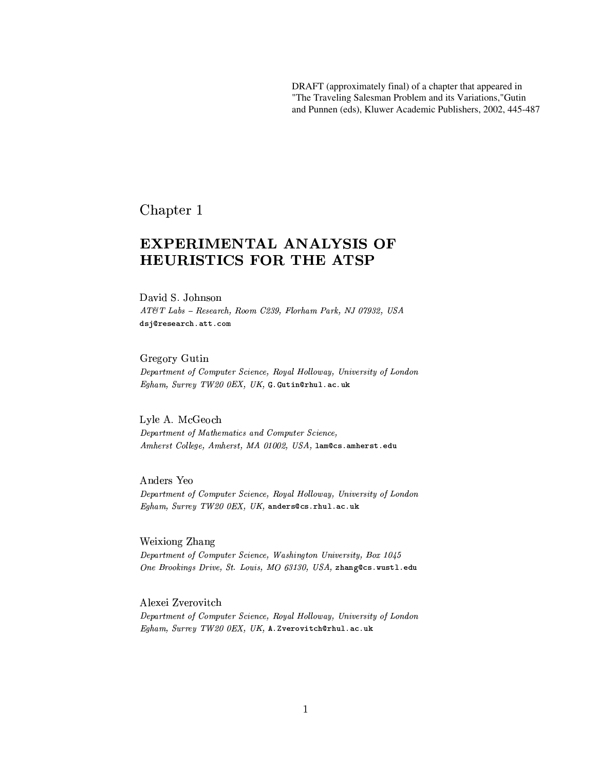DRAFT (approximately final) of a chapter that appeared in "The Traveling Salesman Problem and its Variations,"Gutin and Punnen (eds), Kluwer Academic Publishers, 2002, 445-487

Chapter 1

# **EXPERIMENTAL ANALYSIS OF HEURISTICS FOR THE ATSP**

David S. Johnson AT&T Labs - Research, Room C239, Florham Park, NJ 07932, USA dsj@research.att.com

Gregory Gutin Department of Computer Science, Royal Holloway, University of London Egham, Surrey TW20 OEX, UK, G. Gutin@rhul.ac.uk

Lyle A. McGeoch Department of Mathematics and Computer Science, Amherst College, Amherst, MA 01002, USA, lam@cs.amherst.edu

Anders Yeo Department of Computer Science, Royal Holloway, University of London Egham, Surrey TW20 OEX, UK, anders@cs.rhul.ac.uk

Weixiong Zhang Department of Computer Science, Washington University, Box 1045 One Brookings Drive, St. Louis, MO 63130, USA, zhang@cs.wustl.edu

Alexei Zyerovitch Department of Computer Science, Royal Holloway, University of London Egham, Surrey TW20 OEX, UK, A.Zverovitch@rhul.ac.uk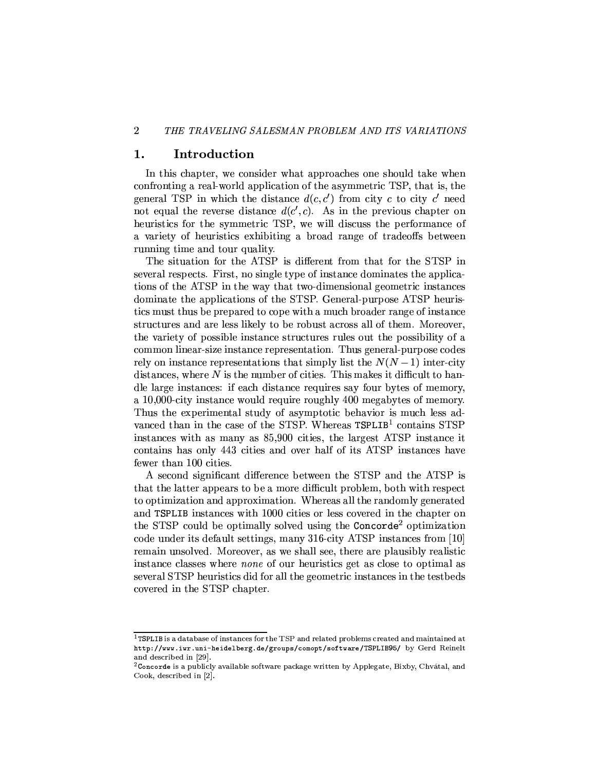#### $\overline{2}$ THE TRAVELING SALESMAN PROBLEM AND ITS VARIATIONS

## Introduction 1.

In this chapter, we consider what approaches one should take when confronting a real-world application of the asymmetric TSP, that is, the general TSP in which the distance  $d(c, c')$  from city c to city c' need not equal the reverse distance  $d(c', c)$ . As in the previous chapter on heuristics for the symmetric TSP, we will discuss the performance of a variety of heuristics exhibiting a broad range of tradeoffs between running time and tour quality.

The situation for the ATSP is different from that for the STSP in several respects. First, no single type of instance dominates the applications of the ATSP in the way that two-dimensional geometric instances dominate the applications of the STSP. General-purpose ATSP heuristics must thus be prepared to cope with a much broader range of instance structures and are less likely to be robust across all of them. Moreover, the variety of possible instance structures rules out the possibility of a common linear-size instance representation. Thus general-purpose codes rely on instance representations that simply list the  $N(N-1)$  inter-city distances, where  $N$  is the number of cities. This makes it difficult to handle large instances: if each distance requires say four bytes of memory, a 10,000-city instance would require roughly 400 megabytes of memory. Thus the experimental study of asymptotic behavior is much less advanced than in the case of the STSP. Whereas TSPLIB<sup>1</sup> contains STSP instances with as many as 85,900 cities, the largest ATSP instance it contains has only 443 cities and over half of its ATSP instances have fewer than 100 cities.

A second significant difference between the STSP and the ATSP is that the latter appears to be a more difficult problem, both with respect to optimization and approximation. Whereas all the randomly generated and TSPLIB instances with 1000 cities or less covered in the chapter on the STSP could be optimally solved using the Concorde<sup>2</sup> optimization code under its default settings, many 316-city ATSP instances from [10] remain unsolved. Moreover, as we shall see, there are plausibly realistic instance classes where *none* of our heuristics get as close to optimal as several STSP heuristics did for all the geometric instances in the testbeds covered in the STSP chapter.

<sup>&</sup>lt;sup>1</sup> TSPLIB is a database of instances for the TSP and related problems created and maintained at http://www.iwr.uni-heidelberg.de/groups/comopt/software/TSPLIB95/ by Gerd Reinelt and described in [29].

<sup>&</sup>lt;sup>2</sup>Concorde is a publicly available software package written by Applegate, Bixby, Chvátal, and Cook, described in [2].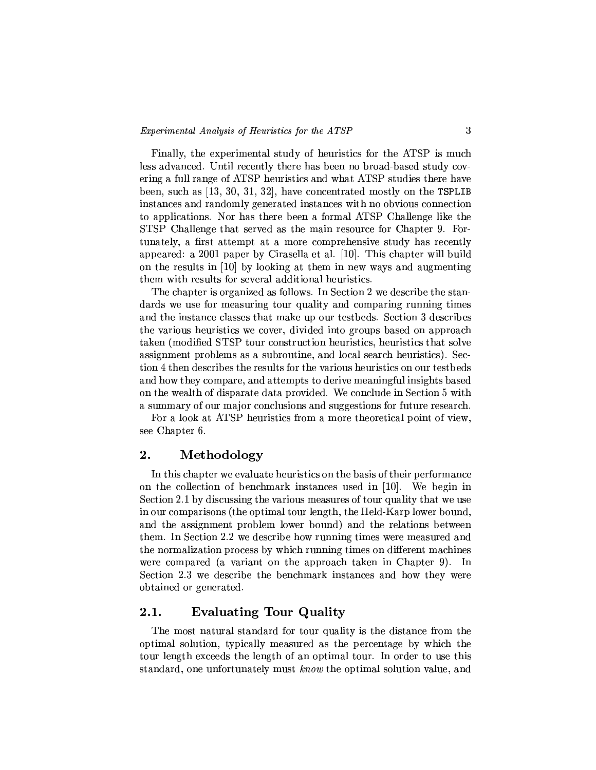Finally, the experimental study of heuristics for the ATSP is much less advanced. Until recently there has been no broad-based study covering a full range of ATSP heuristics and what ATSP studies there have been, such as  $[13, 30, 31, 32]$ , have concentrated mostly on the TSPLIB instances and randomly generated instances with no obvious connection to applications. Nor has there been a formal ATSP Challenge like the STSP Challenge that served as the main resource for Chapter 9. Fortunately, a first attempt at a more comprehensive study has recently appeared: a 2001 paper by Cirasella et al. [10]. This chapter will build on the results in [10] by looking at them in new ways and augmenting them with results for several additional heuristics.

The chapter is organized as follows. In Section 2 we describe the standards we use for measuring tour quality and comparing running times and the instance classes that make up our testbeds. Section 3 describes the various heuristics we cover, divided into groups based on approach taken (modified STSP tour construction heuristics, heuristics that solve assignment problems as a subroutine, and local search heuristics). Section 4 then describes the results for the various heuristics on our testbeds and how they compare, and attempts to derive meaningful insights based on the wealth of disparate data provided. We conclude in Section 5 with a summary of our major conclusions and suggestions for future research.

For a look at ATSP heuristics from a more theoretical point of view, see Chapter 6.

## $2.$ Methodology

In this chapter we evaluate heuristics on the basis of their performance on the collection of benchmark instances used in [10]. We begin in Section 2.1 by discussing the various measures of tour quality that we use in our comparisons (the optimal tour length, the Held-Karp lower bound, and the assignment problem lower bound) and the relations between them. In Section 2.2 we describe how running times were measured and the normalization process by which running times on different machines were compared (a variant on the approach taken in Chapter 9). In Section 2.3 we describe the benchmark instances and how they were obtained or generated.

#### $\mathbf{2.1.}$ **Evaluating Tour Quality**

The most natural standard for tour quality is the distance from the optimal solution, typically measured as the percentage by which the tour length exceeds the length of an optimal tour. In order to use this standard, one unfortunately must know the optimal solution value, and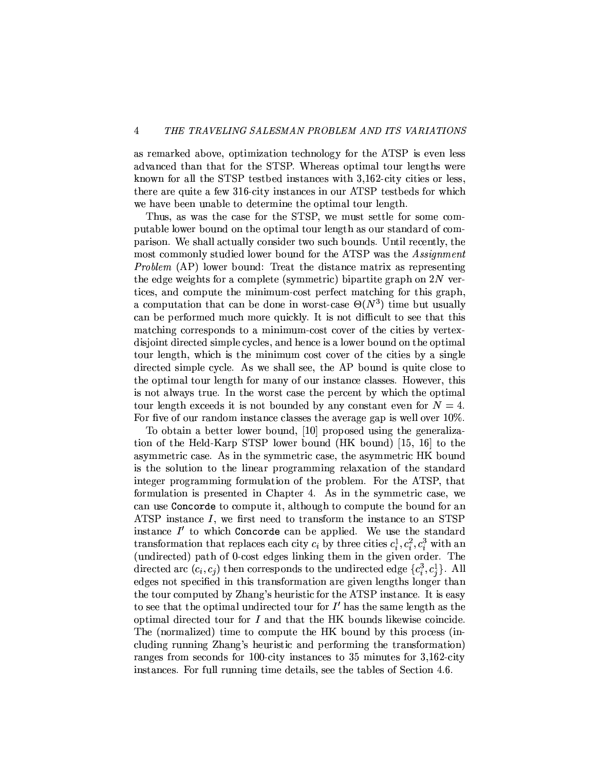as remarked above, optimization technology for the ATSP is even less advanced than that for the STSP. Whereas optimal tour lengths were known for all the STSP testbed instances with 3,162-city cities or less, there are quite a few 316-city instances in our ATSP testbeds for which we have been unable to determine the optimal tour length.

Thus, as was the case for the STSP, we must settle for some computable lower bound on the optimal tour length as our standard of comparison. We shall actually consider two such bounds. Until recently, the most commonly studied lower bound for the ATSP was the *Assignment Problem* (AP) lower bound: Treat the distance matrix as representing the edge weights for a complete (symmetric) bipartite graph on  $2N$  vertices, and compute the minimum-cost perfect matching for this graph, a computation that can be done in worst-case  $\Theta(N^3)$  time but usually can be performed much more quickly. It is not difficult to see that this matching corresponds to a minimum-cost cover of the cities by vertexdisjoint directed simple cycles, and hence is a lower bound on the optimal tour length, which is the minimum cost cover of the cities by a single directed simple cycle. As we shall see, the AP bound is quite close to the optimal tour length for many of our instance classes. However, this is not always true. In the worst case the percent by which the optimal tour length exceeds it is not bounded by any constant even for  $N=4$ . For five of our random instance classes the average gap is well over  $10\%$ .

To obtain a better lower bound, [10] proposed using the generalization of the Held-Karp STSP lower bound (HK bound) [15, 16] to the asymmetric case. As in the symmetric case, the asymmetric HK bound is the solution to the linear programming relaxation of the standard integer programming formulation of the problem. For the ATSP, that formulation is presented in Chapter 4. As in the symmetric case, we can use Concorde to compute it, although to compute the bound for an ATSP instance  $I$ , we first need to transform the instance to an STSP instance  $I'$  to which Concorde can be applied. We use the standard transformation that replaces each city  $c_i$  by three cities  $c_i^1, c_i^2, c_i^3$  with an (undirected) path of 0-cost edges linking them in the given order. The directed arc  $(c_i, c_j)$  then corresponds to the undirected edge  $\{c_i^3, c_j^1\}$ . All edges not specified in this transformation are given lengths longer than the tour computed by Zhang's heuristic for the ATSP instance. It is easy to see that the optimal undirected tour for  $I'$  has the same length as the optimal directed tour for  $I$  and that the HK bounds likewise coincide. The (normalized) time to compute the HK bound by this process (including running Zhang's heuristic and performing the transformation) ranges from seconds for 100-city instances to 35 minutes for 3,162-city instances. For full running time details, see the tables of Section 4.6.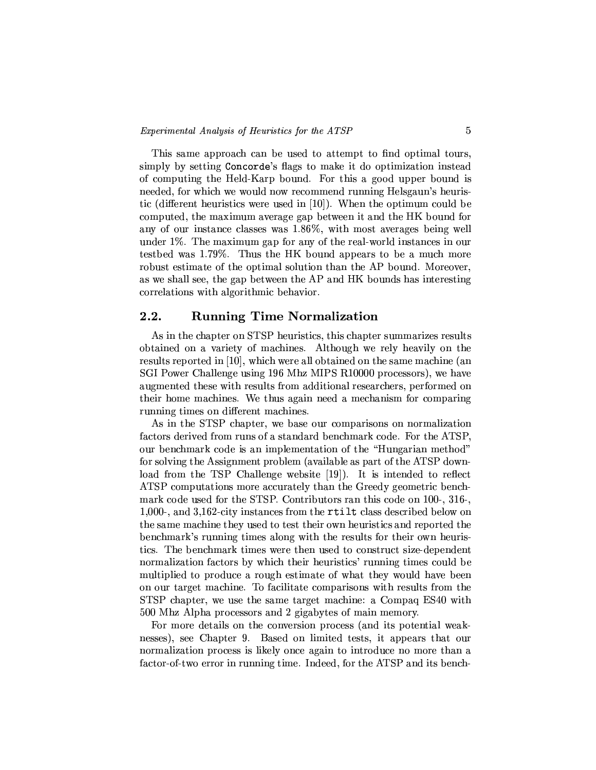This same approach can be used to attempt to find optimal tours, simply by setting Concorde's flags to make it do optimization instead of computing the Held-Karp bound. For this a good upper bound is needed, for which we would now recommend running Helsgaun's heuristic (different heuristics were used in [10]). When the optimum could be computed, the maximum average gap between it and the HK bound for any of our instance classes was 1.86%, with most averages being well under 1%. The maximum gap for any of the real-world instances in our testbed was 1.79%. Thus the HK bound appears to be a much more robust estimate of the optimal solution than the AP bound. Moreover, as we shall see, the gap between the AP and HK bounds has interesting correlations with algorithmic behavior.

#### $2.2.$ **Running Time Normalization**

As in the chapter on STSP heuristics, this chapter summarizes results obtained on a variety of machines. Although we rely heavily on the results reported in [10], which were all obtained on the same machine (an SGI Power Challenge using 196 Mhz MIPS R10000 processors), we have augmented these with results from additional researchers, performed on their home machines. We thus again need a mechanism for comparing running times on different machines.

As in the STSP chapter, we base our comparisons on normalization factors derived from runs of a standard benchmark code. For the ATSP, our benchmark code is an implementation of the "Hungarian method" for solving the Assignment problem (available as part of the ATSP download from the TSP Challenge website [19]. It is intended to reflect ATSP computations more accurately than the Greedy geometric benchmark code used for the STSP. Contributors ran this code on 100-, 316-, 1,000-, and 3,162-city instances from the rtilt class described below on the same machine they used to test their own heuristics and reported the benchmark's running times along with the results for their own heuristics. The benchmark times were then used to construct size-dependent normalization factors by which their heuristics' running times could be multiplied to produce a rough estimate of what they would have been on our target machine. To facilitate comparisons with results from the STSP chapter, we use the same target machine: a Compaq ES40 with 500 Mhz Alpha processors and 2 gigabytes of main memory.

For more details on the conversion process (and its potential weaknesses), see Chapter 9. Based on limited tests, it appears that our normalization process is likely once again to introduce no more than a factor-of-two error in running time. Indeed, for the ATSP and its bench-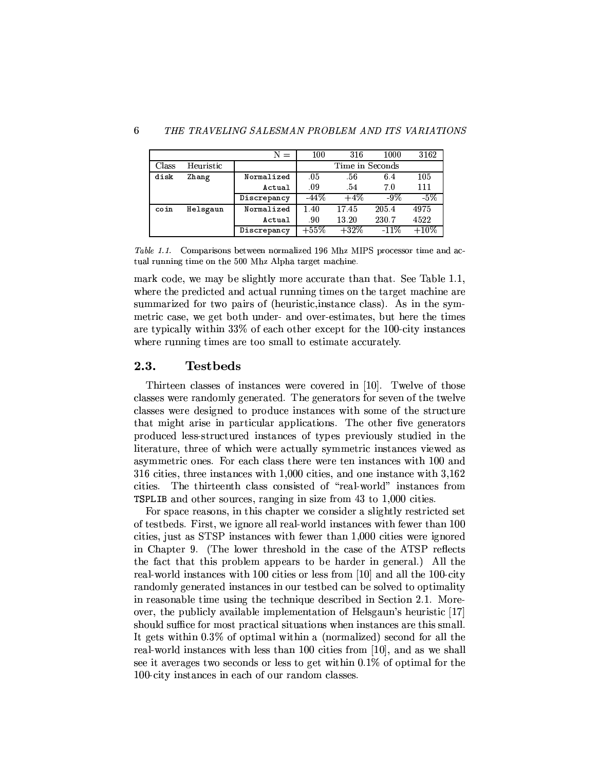|       |           | $N =$       | 100             | 316    | 1000    | 3162    |  |  |
|-------|-----------|-------------|-----------------|--------|---------|---------|--|--|
| Class | Heuristic |             | Time in Seconds |        |         |         |  |  |
| disk  | Zhang     | Normalized  | -05             | .56    | 6.4     | 105     |  |  |
|       |           | Actual      | -09             | .54    | 7.0     | 111     |  |  |
|       |           | Discrepancy | $-44\%$         | $+4\%$ | $-9\%$  | $-5\%$  |  |  |
| coin  | Helsgaun  | Normalized  | 1.40            | 17.45  | 205.4   | 4975    |  |  |
|       |           | Actual      | .90             | 13.20  | 230.7   | 4522    |  |  |
|       |           | Discrepancy | $+55%$          | $+32%$ | $-11\%$ | $+10\%$ |  |  |

Table 1.1. Comparisons between normalized 196 Mhz MIPS processor time and actual running time on the 500 Mhz Alpha target machine.

mark code, we may be slightly more accurate than that. See Table 1.1, where the predicted and actual running times on the target machine are summarized for two pairs of (heuristic, instance class). As in the symmetric case, we get both under- and over-estimates, but here the times are typically within  $33\%$  of each other except for the 100-city instances where running times are too small to estimate accurately.

#### $\bf 2.3.$ **Testbeds**

Thirteen classes of instances were covered in [10]. Twelve of those classes were randomly generated. The generators for seven of the twelve classes were designed to produce instances with some of the structure that might arise in particular applications. The other five generators produced less-structured instances of types previously studied in the literature, three of which were actually symmetric instances viewed as asymmetric ones. For each class there were ten instances with 100 and 316 cities, three instances with 1,000 cities, and one instance with 3,162 The thirteenth class consisted of "real-world" instances from cities. **TSPLIB** and other sources, ranging in size from 43 to 1,000 cities.

For space reasons, in this chapter we consider a slightly restricted set of testbeds. First, we ignore all real-world instances with fewer than 100 cities, just as STSP instances with fewer than 1,000 cities were ignored in Chapter 9. (The lower threshold in the case of the ATSP reflects the fact that this problem appears to be harder in general.) All the real-world instances with 100 cities or less from [10] and all the 100-city randomly generated instances in our testbed can be solved to optimality in reasonable time using the technique described in Section 2.1. Moreover, the publicly available implementation of Helsgaun's heuristic [17] should suffice for most practical situations when instances are this small. It gets within  $0.3\%$  of optimal within a (normalized) second for all the real-world instances with less than 100 cities from  $[10]$ , and as we shall see it averages two seconds or less to get within  $0.1\%$  of optimal for the 100-city instances in each of our random classes.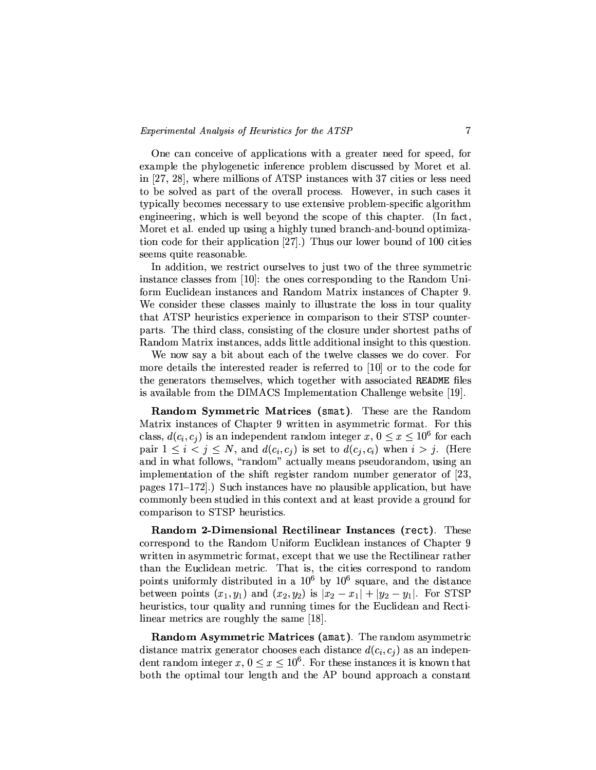One can conceive of applications with a greater need for speed, for example the phylogenetic inference problem discussed by Moret et al. in  $[27, 28]$ , where millions of ATSP instances with 37 cities or less need to be solved as part of the overall process. However, in such cases it typically becomes necessary to use extensive problem-specific algorithm engineering, which is well beyond the scope of this chapter. (In fact, Moret et al. ended up using a highly tuned branch-and-bound optimization code for their application [27].) Thus our lower bound of 100 cities seems quite reasonable.

In addition, we restrict ourselves to just two of the three symmetric instance classes from  $[10]$ : the ones corresponding to the Random Uniform Euclidean instances and Random Matrix instances of Chapter 9. We consider these classes mainly to illustrate the loss in tour quality that ATSP heuristics experience in comparison to their STSP counterparts. The third class, consisting of the closure under shortest paths of Random Matrix instances, adds little additional insight to this question.

We now say a bit about each of the twelve classes we do cover. For more details the interested reader is referred to [10] or to the code for the generators themselves, which together with associated README files is available from the DIMACS Implementation Challenge website [19].

Random Symmetric Matrices (smat). These are the Random Matrix instances of Chapter 9 written in asymmetric format. For this class,  $d(c_i, c_j)$  is an independent random integer x,  $0 \le x \le 10^6$  for each pair  $1 \leq i \leq j \leq N$ , and  $d(c_i, c_j)$  is set to  $d(c_j, c_i)$  when  $i > j$ . (Here and in what follows, "random" actually means pseudorandom, using an implementation of the shift register random number generator of [23, pages  $171-172$ .) Such instances have no plausible application, but have commonly been studied in this context and at least provide a ground for comparison to STSP heuristics.

Random 2-Dimensional Rectilinear Instances (rect). These correspond to the Random Uniform Euclidean instances of Chapter 9 written in asymmetric format, except that we use the Rectilinear rather than the Euclidean metric. That is, the cities correspond to random points uniformly distributed in a  $10^6$  by  $10^6$  square, and the distance between points  $(x_1, y_1)$  and  $(x_2, y_2)$  is  $|x_2 - x_1| + |y_2 - y_1|$ . For STSP heuristics, tour quality and running times for the Euclidean and Rectilinear metrics are roughly the same [18].

Random Asymmetric Matrices (amat). The random asymmetric distance matrix generator chooses each distance  $d(c_i, c_j)$  as an independent random integer x,  $0 \le x \le 10^6$ . For these instances it is known that both the optimal tour length and the AP bound approach a constant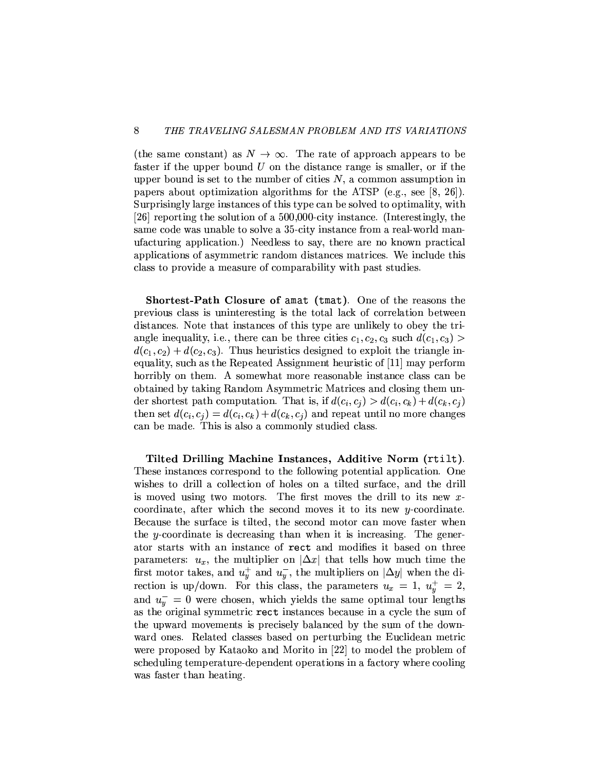(the same constant) as  $N \to \infty$ . The rate of approach appears to be faster if the upper bound  $U$  on the distance range is smaller, or if the upper bound is set to the number of cities  $N$ , a common assumption in papers about optimization algorithms for the ATSP (e.g., see [8, 26]). Surprisingly large instances of this type can be solved to optimality, with [26] reporting the solution of a  $500,000$ -city instance. (Interestingly, the same code was unable to solve a 35-city instance from a real-world manufacturing application.) Needless to say, there are no known practical applications of asymmetric random distances matrices. We include this class to provide a measure of comparability with past studies.

Shortest-Path Closure of amat (tmat). One of the reasons the previous class is uninteresting is the total lack of correlation between distances. Note that instances of this type are unlikely to obey the triangle inequality, i.e., there can be three cities  $c_1, c_2, c_3$  such  $d(c_1, c_3)$  $d(c_1, c_2) + d(c_2, c_3)$ . Thus heuristics designed to exploit the triangle inequality, such as the Repeated Assignment heuristic of [11] may perform horribly on them. A somewhat more reasonable instance class can be obtained by taking Random Asymmetric Matrices and closing them under shortest path computation. That is, if  $d(c_i, c_i) > d(c_i, c_k) + d(c_k, c_i)$ then set  $d(c_i, c_j) = d(c_i, c_k) + d(c_k, c_j)$  and repeat until no more changes can be made. This is also a commonly studied class.

Tilted Drilling Machine Instances, Additive Norm (rtilt). These instances correspond to the following potential application. One wishes to drill a collection of holes on a tilted surface, and the drill is moved using two motors. The first moves the drill to its new  $x$ coordinate, after which the second moves it to its new y-coordinate. Because the surface is tilted, the second motor can move faster when the y-coordinate is decreasing than when it is increasing. The generator starts with an instance of rect and modifies it based on three parameters:  $u_x$ , the multiplier on  $|\Delta x|$  that tells how much time the first motor takes, and  $u_y^+$  and  $u_y^-$ , the multipliers on  $|\Delta y|$  when the direction is up/down. For this class, the parameters  $u_x = 1$ ,  $u_y^+ = 2$ , and  $u_u^-=0$  were chosen, which yields the same optimal tour lengths as the original symmetric rect instances because in a cycle the sum of the upward movements is precisely balanced by the sum of the downward ones. Related classes based on perturbing the Euclidean metric were proposed by Kataoko and Morito in [22] to model the problem of scheduling temperature-dependent operations in a factory where cooling was faster than heating.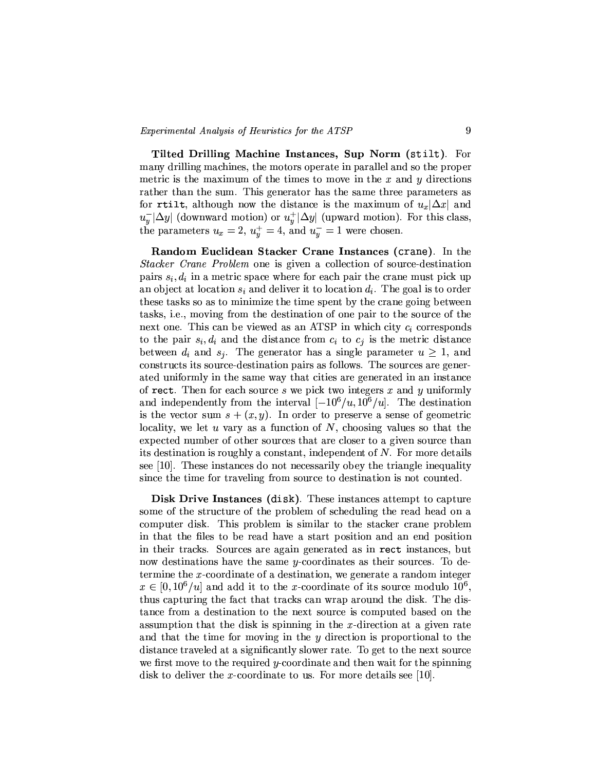Tilted Drilling Machine Instances, Sup Norm (stilt). For many drilling machines, the motors operate in parallel and so the proper metric is the maximum of the times to move in the x and y directions rather than the sum. This generator has the same three parameters as for rtilt, although now the distance is the maximum of  $u_x|\Delta x|$  and  $u_y^{-}|\Delta y|$  (downward motion) or  $u_y^{+}|\Delta y|$  (upward motion). For this class, the parameters  $u_x = 2$ ,  $u_y^+ = 4$ , and  $u_y^- = 1$  were chosen.

Random Euclidean Stacker Crane Instances (crane). In the *Stacker Crane Problem* one is given a collection of source-destination pairs  $s_i, d_i$  in a metric space where for each pair the crane must pick up an object at location  $s_i$  and deliver it to location  $d_i$ . The goal is to order these tasks so as to minimize the time spent by the crane going between tasks, i.e., moving from the destination of one pair to the source of the next one. This can be viewed as an ATSP in which city  $c_i$  corresponds to the pair  $s_i, d_i$  and the distance from  $c_i$  to  $c_j$  is the metric distance between  $d_i$  and  $s_j$ . The generator has a single parameter  $u \geq 1$ , and constructs its source-destination pairs as follows. The sources are generated uniformly in the same way that cities are generated in an instance of rect. Then for each source  $s$  we pick two integers  $x$  and  $y$  uniformly and independently from the interval  $[-10^6/u, 10^6/u]$ . The destination is the vector sum  $s + (x, y)$ . In order to preserve a sense of geometric locality, we let  $u$  vary as a function of  $N$ , choosing values so that the expected number of other sources that are closer to a given source than its destination is roughly a constant, independent of  $N$ . For more details see [10]. These instances do not necessarily obey the triangle inequality since the time for traveling from source to destination is not counted.

**Disk Drive Instances (disk)**. These instances attempt to capture some of the structure of the problem of scheduling the read head on a computer disk. This problem is similar to the stacker crane problem in that the files to be read have a start position and an end position in their tracks. Sources are again generated as in rect instances, but now destinations have the same  $y$ -coordinates as their sources. To determine the  $x$ -coordinate of a destination, we generate a random integer  $x \in [0, 10^6/u]$  and add it to the x-coordinate of its source modulo  $10^6$ . thus capturing the fact that tracks can wrap around the disk. The distance from a destination to the next source is computed based on the assumption that the disk is spinning in the  $x$ -direction at a given rate and that the time for moving in the  $y$  direction is proportional to the distance traveled at a significantly slower rate. To get to the next source we first move to the required y-coordinate and then wait for the spinning disk to deliver the x-coordinate to us. For more details see [10].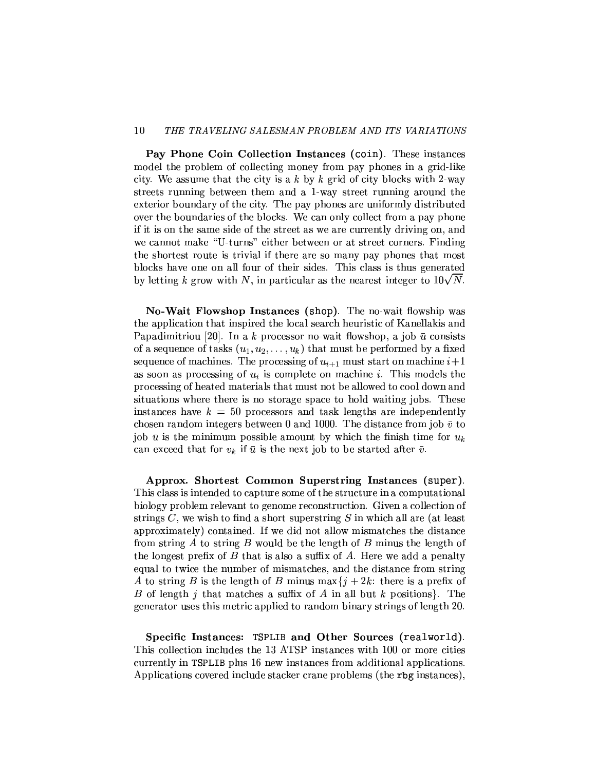Pay Phone Coin Collection Instances (coin). These instances model the problem of collecting money from pay phones in a grid-like city. We assume that the city is a k by k grid of city blocks with 2-way streets running between them and a 1-way street running around the exterior boundary of the city. The pay phones are uniformly distributed over the boundaries of the blocks. We can only collect from a pay phone if it is on the same side of the street as we are currently driving on, and we cannot make "U-turns" either between or at street corners. Finding the shortest route is trivial if there are so many pay phones that most blocks have one on all four of their sides. This class is thus generated by letting k grow with N, in particular as the nearest integer to  $10\sqrt{N}$ .

No-Wait Flowshop Instances (shop). The no-wait flowship was the application that inspired the local search heuristic of Kanellakis and Papadimitriou [20]. In a k-processor no-wait flowshop, a job  $\bar{u}$  consists of a sequence of tasks  $(u_1, u_2, \ldots, u_k)$  that must be performed by a fixed sequence of machines. The processing of  $u_{i+1}$  must start on machine  $i+1$ as soon as processing of  $u_i$  is complete on machine i. This models the processing of heated materials that must not be allowed to cool down and situations where there is no storage space to hold waiting jobs. These instances have  $k = 50$  processors and task lengths are independently chosen random integers between 0 and 1000. The distance from job  $\bar{v}$  to job  $\bar{u}$  is the minimum possible amount by which the finish time for  $u_k$ can exceed that for  $v_k$  if  $\bar{u}$  is the next job to be started after  $\bar{v}$ .

Approx. Shortest Common Superstring Instances (super). This class is intended to capture some of the structure in a computational biology problem relevant to genome reconstruction. Given a collection of strings C, we wish to find a short superstring S in which all are (at least approximately) contained. If we did not allow mismatches the distance from string A to string B would be the length of B minus the length of the longest prefix of  $B$  that is also a suffix of  $A$ . Here we add a penalty equal to twice the number of mismatches, and the distance from string A to string B is the length of B minus  $\max\{j+2k:$  there is a prefix of B of length j that matches a suffix of A in all but k positions. The generator uses this metric applied to random binary strings of length 20.

Specific Instances: TSPLIB and Other Sources (realworld). This collection includes the 13 ATSP instances with 100 or more cities currently in TSPLIB plus 16 new instances from additional applications. Applications covered include stacker crane problems (the rbg instances).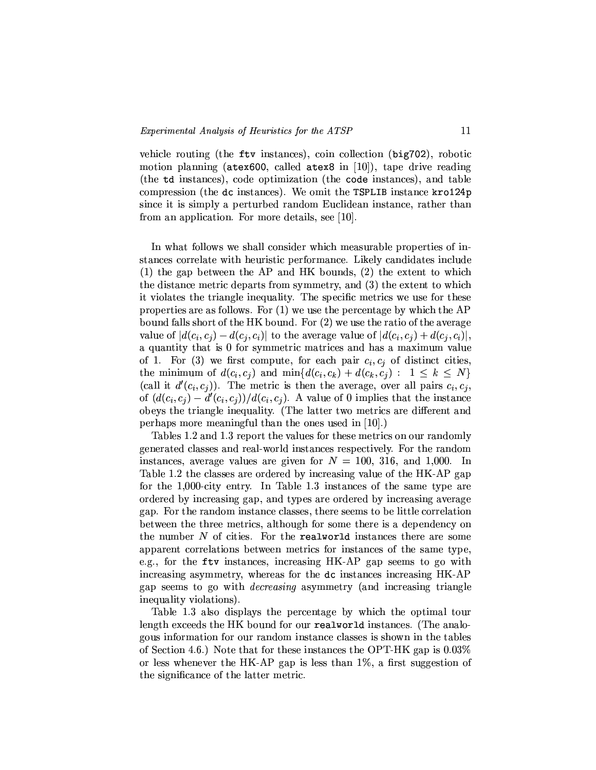vehicle routing (the ftv instances), coin collection (big702), robotic motion planning (atex600, called atex8 in [10]), tape drive reading (the td instances), code optimization (the code instances), and table compression (the dc instances). We omit the TSPLIB instance kro124p since it is simply a perturbed random Euclidean instance, rather than from an application. For more details, see [10].

In what follows we shall consider which measurable properties of instances correlate with heuristic performance. Likely candidates include  $(1)$  the gap between the AP and HK bounds,  $(2)$  the extent to which the distance metric departs from symmetry, and (3) the extent to which it violates the triangle inequality. The specific metrics we use for these properties are as follows. For  $(1)$  we use the percentage by which the AP bound falls short of the HK bound. For (2) we use the ratio of the average value of  $|d(c_i, c_j) - d(c_j, c_i)|$  to the average value of  $|d(c_i, c_j) + d(c_j, c_i)|$ , a quantity that is 0 for symmetric matrices and has a maximum value of 1. For (3) we first compute, for each pair  $c_i, c_j$  of distinct cities, the minimum of  $d(c_i, c_j)$  and  $\min\{d(c_i, c_k) + d(c_k, c_j) : 1 \leq k \leq N\}$ (call it  $d'(c_i, c_j)$ ). The metric is then the average, over all pairs  $c_i, c_j$ , of  $(d(c_i, c_j) - d'(c_i, c_j))/d(c_i, c_j)$ . A value of 0 implies that the instance obeys the triangle inequality. (The latter two metrics are different and perhaps more meaningful than the ones used in  $[10]$ .

Tables 1.2 and 1.3 report the values for these metrics on our randomly generated classes and real-world instances respectively. For the random instances, average values are given for  $N = 100$ , 316, and 1,000. In Table 1.2 the classes are ordered by increasing value of the HK-AP gap for the 1,000-city entry. In Table 1.3 instances of the same type are ordered by increasing gap, and types are ordered by increasing average gap. For the random instance classes, there seems to be little correlation between the three metrics, although for some there is a dependency on the number  $N$  of cities. For the realworld instances there are some apparent correlations between metrics for instances of the same type, e.g., for the ftv instances, increasing HK-AP gap seems to go with increasing asymmetry, whereas for the dc instances increasing HK-AP gap seems to go with *decreasing* asymmetry (and increasing triangle inequality violations).

Table 1.3 also displays the percentage by which the optimal tour length exceeds the HK bound for our realworld instances. (The analogous information for our random instance classes is shown in the tables of Section 4.6.) Note that for these instances the OPT-HK gap is  $0.03\%$ or less whenever the HK-AP gap is less than  $1\%$ , a first suggestion of the significance of the latter metric.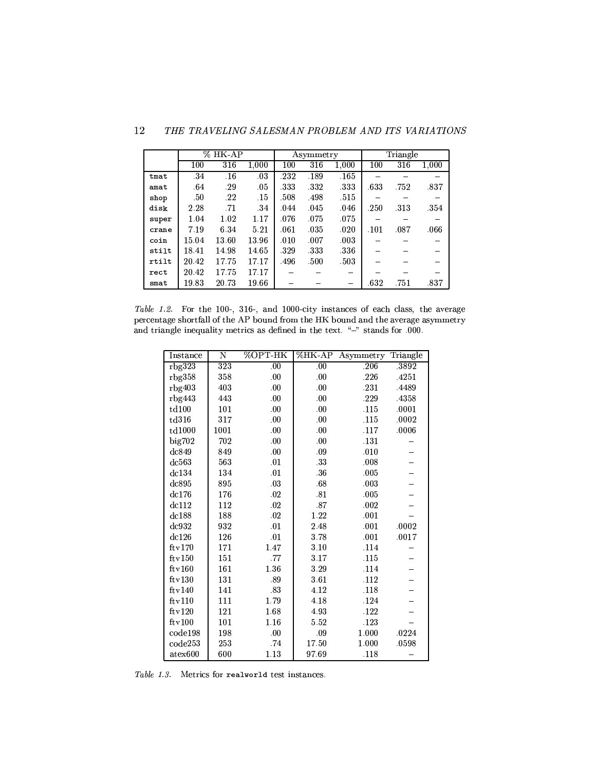|       |       | $%$ HK-AP |       |      | Asymmetry |       |      | Triangle |       |
|-------|-------|-----------|-------|------|-----------|-------|------|----------|-------|
|       | 100   | 316       | 1,000 | 100  | 316       | 1,000 | 100  | 316      | 1,000 |
| tmat  | .34   | .16       | .03   | .232 | .189      | .165  |      |          |       |
| amat  | .64   | .29       | .05   | 333  | 332       | .333  | .633 | .752     | .837  |
| shop  | -50   | .22       | .15   | .508 | .498      | .515  |      |          |       |
| disk  | 2.28  | .71       | -34   | .044 | .045      | .046  | .250 | 313      | .354  |
| super | 1.04  | 1.02      | 1.17  | .076 | .075      | .075  |      |          |       |
| crane | 7.19  | 6.34      | 5.21  | .061 | .035      | .020  | .101 | .087     | .066  |
| coin  | 15.04 | 13.60     | 13.96 | .010 | .007      | .003  |      |          |       |
| stilt | 18.41 | 14.98     | 14.65 | 329  | .333      | 336   |      |          |       |
| rtilt | 20.42 | 17.75     | 17.17 | .496 | .500      | .503  |      |          |       |
| rect  | 20.42 | 17.75     | 17.17 |      |           |       |      |          |       |
| smat  | 19.83 | 20.73     | 19.66 |      |           |       | .632 | .751     | .837  |

Table 1.2. For the 100-, 316-, and 1000-city instances of each class, the average percentage shortfall of the AP bound from the HK bound and the average asymmetry and triangle inequality metrics as defined in the text. "-" stands for .000.

| Instance | N    | $\overline{{\%}$ OPT-HK | $%HK-AP$ | Asymmetry | Triangle  |
|----------|------|-------------------------|----------|-----------|-----------|
| rbg323   | 323  | .00                     | .00      | .206      | 3892      |
| rbg358   | 358  | .00                     | .00      | .226      | .4251     |
| rbg403   | 403  | .00                     | .00      | .231      | .4489     |
| rbg443   | 443  | .00                     | .00      | .229      | .4358     |
| td100    | 101  | .00                     | .00      | .115      | .0001     |
| td316    | 317  | .00                     | .00      | .115      | .0002     |
| td1000   | 1001 | .00                     | .00      | .117      | .0006     |
| big702   | 702  | .00                     | .00      | .131      |           |
| dc849    | 849  | .00                     | .09      | .010      |           |
| dc563    | 563  | .01                     | .33      | .008      |           |
| dc134    | 134  | .01                     | .36      | .005      |           |
| dc895    | 895  | .03                     | .68      | .003      |           |
| dc176    | 176  | .02                     | .81      | .005      |           |
| dc112    | 112  | .02                     | .87      | .002      |           |
| dc188    | 188  | .02                     | 1.22     | .001      |           |
| dc932    | 932  | .01                     | 2.48     | .001      | $.0002\,$ |
| dc126    | 126  | .01                     | 3.78     | $.001\,$  | .0017     |
| ftv170   | 171  | 1.47                    | 3.10     | .114      |           |
| ftv150   | 151  | .77                     | 3.17     | .115      |           |
| ftv160   | 161  | 1.36                    | 3.29     | .114      |           |
| ftv130   | 131  | .89                     | 3.61     | .112      |           |
| ftv140   | 141  | .83                     | 4.12     | .118      |           |
| ftv110   | 111  | 1.79                    | 4.18     | .124      |           |
| ftv120   | 121  | 1.68                    | 4.93     | .122      |           |
| ftv100   | 101  | 1.16                    | 5.52     | .123      |           |
| code198  | 198  | .00                     | .09      | 1.000     | .0224     |
| code253  | 253  | .74                     | 17.50    | 1.000     | .0598     |
| atex600  | 600  | 1.13                    | 97.69    | .118      |           |

Table 1.3. Metrics for realworld test instances.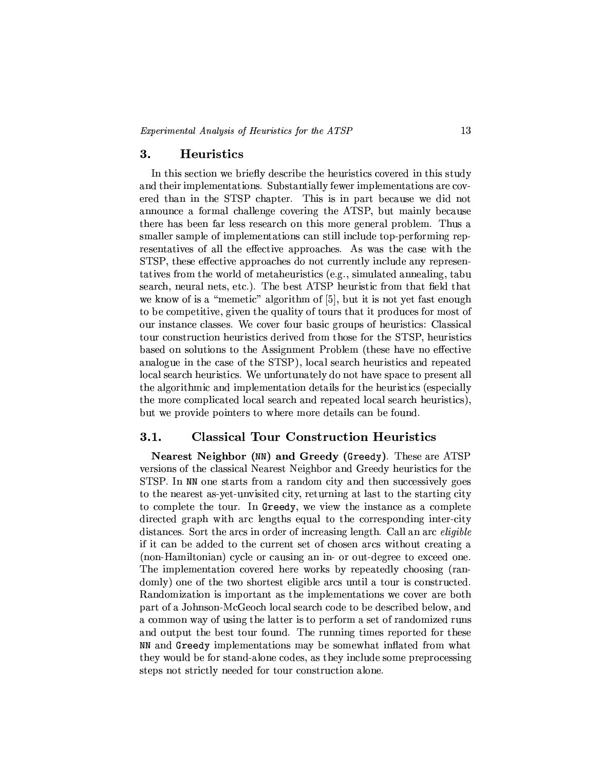## 3. Heuristics

In this section we briefly describe the heuristics covered in this study and their implementations. Substantially fewer implementations are covered than in the STSP chapter. This is in part because we did not announce a formal challenge covering the ATSP, but mainly because there has been far less research on this more general problem. Thus a smaller sample of implementations can still include top-performing representatives of all the effective approaches. As was the case with the STSP, these effective approaches do not currently include any representatives from the world of metaheuristics (e.g., simulated annealing, tabu search, neural nets, etc.). The best ATSP heuristic from that field that we know of is a "memetic" algorithm of [5], but it is not yet fast enough to be competitive, given the quality of tours that it produces for most of our instance classes. We cover four basic groups of heuristics: Classical tour construction heuristics derived from those for the STSP, heuristics based on solutions to the Assignment Problem (these have no effective analogue in the case of the STSP), local search heuristics and repeated local search heuristics. We unfortunately do not have space to present all the algorithmic and implementation details for the heuristics (especially the more complicated local search and repeated local search heuristics), but we provide pointers to where more details can be found.

## $3.1.$ **Classical Tour Construction Heuristics**

Nearest Neighbor (NN) and Greedy (Greedy). These are ATSP versions of the classical Nearest Neighbor and Greedy heuristics for the STSP. In NN one starts from a random city and then successively goes to the nearest as-yet-unvisited city, returning at last to the starting city to complete the tour. In Greedy, we view the instance as a complete directed graph with arc lengths equal to the corresponding inter-city distances. Sort the arcs in order of increasing length. Call an arc *eligible* if it can be added to the current set of chosen arcs without creating a (non-Hamiltonian) cycle or causing an in- or out-degree to exceed one. The implementation covered here works by repeatedly choosing (randomly) one of the two shortest eligible arcs until a tour is constructed. Randomization is important as the implementations we cover are both part of a Johnson-McGeoch local search code to be described below, and a common way of using the latter is to perform a set of randomized runs and output the best tour found. The running times reported for these NN and Greedy implementations may be somewhat inflated from what they would be for stand-alone codes, as they include some preprocessing steps not strictly needed for tour construction alone.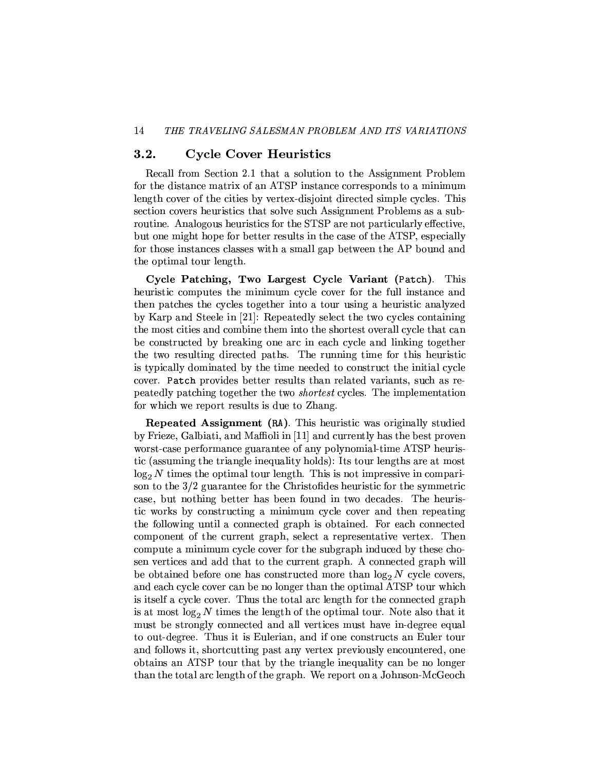## **Cycle Cover Heuristics**  $3.2.$

Recall from Section 2.1 that a solution to the Assignment Problem for the distance matrix of an ATSP instance corresponds to a minimum length cover of the cities by vertex-disjoint directed simple cycles. This section covers heuristics that solve such Assignment Problems as a subroutine. Analogous heuristics for the STSP are not particularly effective, but one might hope for better results in the case of the ATSP, especially for those instances classes with a small gap between the AP bound and the optimal tour length.

Cycle Patching, Two Largest Cycle Variant (Patch). This heuristic computes the minimum cycle cover for the full instance and then patches the cycles together into a tour using a heuristic analyzed by Karp and Steele in [21]: Repeatedly select the two cycles containing the most cities and combine them into the shortest overall cycle that can be constructed by breaking one arc in each cycle and linking together the two resulting directed paths. The running time for this heuristic is typically dominated by the time needed to construct the initial cycle cover. Patch provides better results than related variants, such as repeatedly patching together the two *shortest* cycles. The implementation for which we report results is due to Zhang.

**Repeated Assignment (RA).** This heuristic was originally studied by Frieze, Galbiati, and Maffioli in [11] and currently has the best proven worst-case performance guarantee of any polynomial-time ATSP heuristic (assuming the triangle inequality holds): Its tour lengths are at most  $\log_2 N$  times the optimal tour length. This is not impressive in comparison to the  $3/2$  guarantee for the Christofides heuristic for the symmetric case, but nothing better has been found in two decades. The heuristic works by constructing a minimum cycle cover and then repeating the following until a connected graph is obtained. For each connected component of the current graph, select a representative vertex. Then compute a minimum cycle cover for the subgraph induced by these chosen vertices and add that to the current graph. A connected graph will be obtained before one has constructed more than  $\log_2 N$  cycle covers, and each cycle cover can be no longer than the optimal ATSP tour which is itself a cycle cover. Thus the total arc length for the connected graph is at most  $log_2 N$  times the length of the optimal tour. Note also that it must be strongly connected and all vertices must have in-degree equal to out-degree. Thus it is Eulerian, and if one constructs an Euler tour and follows it, shortcutting past any vertex previously encountered, one obtains an ATSP tour that by the triangle inequality can be no longer than the total arc length of the graph. We report on a Johnson-McGeoch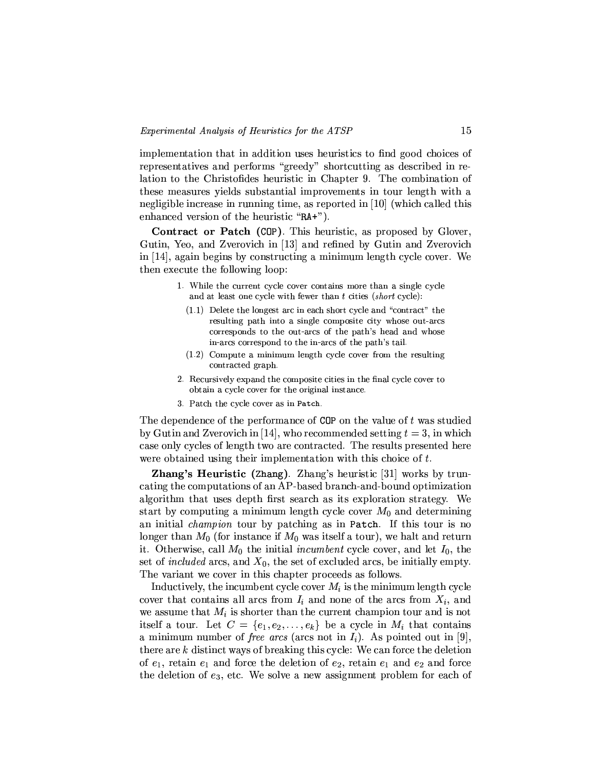implementation that in addition uses heuristics to find good choices of representatives and performs "greedy" shortcutting as described in relation to the Christofides heuristic in Chapter 9. The combination of these measures yields substantial improvements in tour length with a negligible increase in running time, as reported in [10] (which called this enhanced version of the heuristic "RA+").

Contract or Patch (COP). This heuristic, as proposed by Glover, Gutin, Yeo, and Zverovich in [13] and refined by Gutin and Zverovich in [14], again begins by constructing a minimum length cycle cover. We then execute the following loop:

- 1. While the current cycle cover contains more than a single cycle and at least one cycle with fewer than t cities (short cycle):
	- (1.1) Delete the longest arc in each short cycle and "contract" the resulting path into a single composite city whose out-arcs corresponds to the out-arcs of the path's head and whose in-arcs correspond to the in-arcs of the path's tail.
	- (1.2) Compute a minimum length cycle cover from the resulting contracted graph.
- 2. Recursively expand the composite cities in the final cycle cover to obtain a cycle cover for the original instance.
- 3. Patch the cycle cover as in Patch.

The dependence of the performance of COP on the value of  $t$  was studied by Gutin and Zverovich in [14], who recommended setting  $t = 3$ , in which case only cycles of length two are contracted. The results presented here were obtained using their implementation with this choice of  $t$ .

**Zhang's Heuristic (Zhang).** Zhang's heuristic [31] works by truncating the computations of an AP-based branch-and-bound optimization algorithm that uses depth first search as its exploration strategy. We start by computing a minimum length cycle cover  $M_0$  and determining an initial *champion* tour by patching as in Patch. If this tour is no longer than  $M_0$  (for instance if  $M_0$  was itself a tour), we halt and return it. Otherwise, call  $M_0$  the initial *incumbent* cycle cover, and let  $I_0$ , the set of *included* arcs, and  $X_0$ , the set of excluded arcs, be initially empty. The variant we cover in this chapter proceeds as follows.

Inductively, the incumbent cycle cover  $M_i$  is the minimum length cycle cover that contains all arcs from  $I_i$  and none of the arcs from  $X_i$ , and we assume that  $M_i$  is shorter than the current champion tour and is not itself a tour. Let  $C = \{e_1, e_2, \ldots, e_k\}$  be a cycle in  $M_i$  that contains a minimum number of free arcs (arcs not in  $I_i$ ). As pointed out in [9], there are  $k$  distinct ways of breaking this cycle: We can force the deletion of  $e_1$ , retain  $e_1$  and force the deletion of  $e_2$ , retain  $e_1$  and  $e_2$  and force the deletion of  $e_3$ , etc. We solve a new assignment problem for each of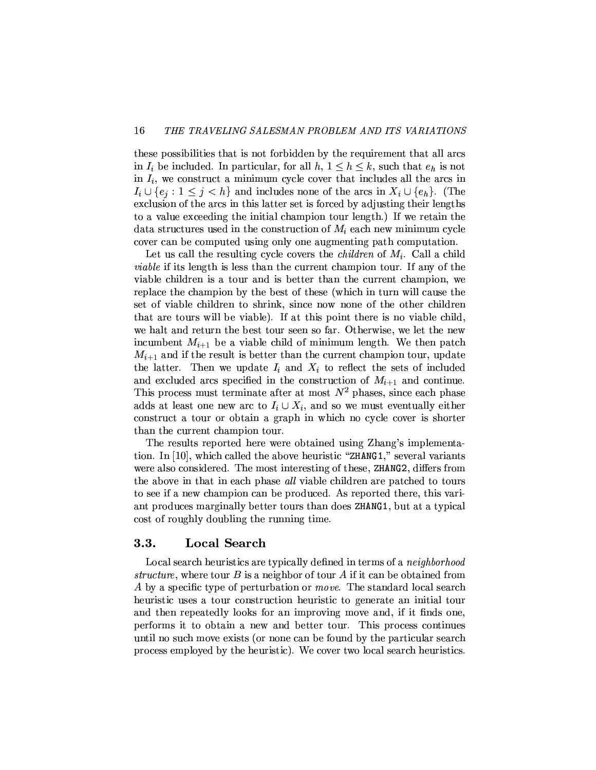these possibilities that is not forbidden by the requirement that all arcs in  $I_i$  be included. In particular, for all  $h, 1 \leq h \leq k$ , such that  $e_h$  is not in  $I_i$ , we construct a minimum cycle cover that includes all the arcs in  $I_i \cup \{e_j : 1 \leq j < h\}$  and includes none of the arcs in  $X_i \cup \{e_h\}$ . (The exclusion of the arcs in this latter set is forced by adjusting their lengths to a value exceeding the initial champion tour length.) If we retain the data structures used in the construction of  $M_i$  each new minimum cycle cover can be computed using only one augmenting path computation.

Let us call the resulting cycle covers the *children* of  $M_i$ . Call a child *viable* if its length is less than the current champion tour. If any of the viable children is a tour and is better than the current champion, we replace the champion by the best of these (which in turn will cause the set of viable children to shrink, since now none of the other children that are tours will be viable). If at this point there is no viable child, we halt and return the best tour seen so far. Otherwise, we let the new incumbent  $M_{i+1}$  be a viable child of minimum length. We then patch  $M_{i+1}$  and if the result is better than the current champion tour, update the latter. Then we update  $I_i$  and  $X_i$  to reflect the sets of included and excluded arcs specified in the construction of  $M_{i+1}$  and continue. This process must terminate after at most  $N^2$  phases, since each phase adds at least one new arc to  $I_i \cup X_i$ , and so we must eventually either construct a tour or obtain a graph in which no cycle cover is shorter than the current champion tour.

The results reported here were obtained using Zhang's implementation. In [10], which called the above heuristic "ZHANG1," several variants were also considered. The most interesting of these, ZHANG2, differs from the above in that in each phase all viable children are patched to tours to see if a new champion can be produced. As reported there, this variant produces marginally better tours than does ZHANG1, but at a typical cost of roughly doubling the running time.

#### $3.3.$ **Local Search**

Local search heuristics are typically defined in terms of a *neighborhood* structure, where tour B is a neighbor of tour A if it can be obtained from A by a specific type of perturbation or move. The standard local search heuristic uses a tour construction heuristic to generate an initial tour and then repeatedly looks for an improving move and, if it finds one, performs it to obtain a new and better tour. This process continues until no such move exists (or none can be found by the particular search process employed by the heuristic). We cover two local search heuristics.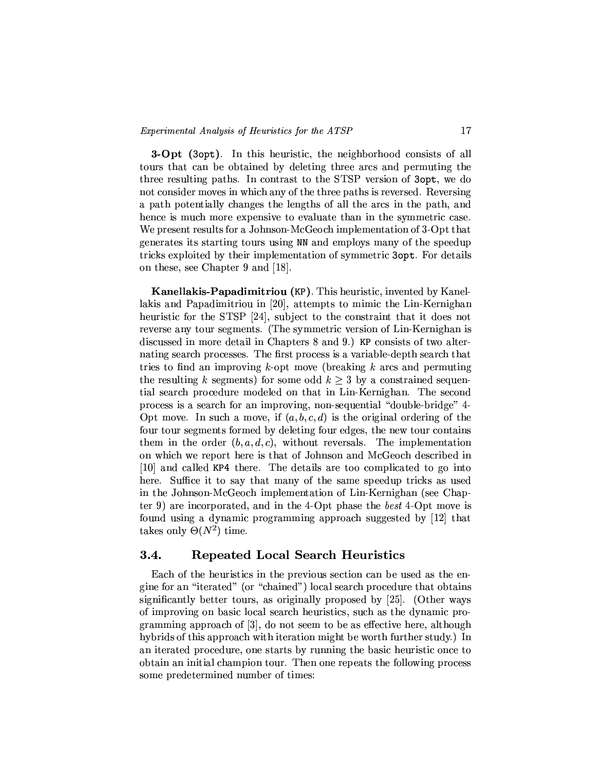3-Opt (3opt). In this heuristic, the neighborhood consists of all tours that can be obtained by deleting three arcs and permuting the three resulting paths. In contrast to the STSP version of 3opt, we do not consider moves in which any of the three paths is reversed. Reversing a path potentially changes the lengths of all the arcs in the path, and hence is much more expensive to evaluate than in the symmetric case. We present results for a Johnson-McGeoch implementation of 3-Opt that generates its starting tours using NN and employs many of the speedup tricks exploited by their implementation of symmetric 3opt. For details on these, see Chapter 9 and [18].

**Kanellakis-Papadimitriou** (KP). This heuristic, invented by Kanellakis and Papadimitriou in [20], attempts to mimic the Lin-Kernighan heuristic for the STSP [24], subject to the constraint that it does not reverse any tour segments. (The symmetric version of Lin-Kernighan is discussed in more detail in Chapters 8 and 9.) KP consists of two alternating search processes. The first process is a variable-depth search that tries to find an improving  $k$ -opt move (breaking  $k$  arcs and permuting the resulting k segments) for some odd  $k \geq 3$  by a constrained sequential search procedure modeled on that in Lin-Kernighan. The second process is a search for an improving, non-sequential "double-bridge" 4-Opt move. In such a move, if  $(a, b, c, d)$  is the original ordering of the four tour segments formed by deleting four edges, the new tour contains them in the order  $(b, a, d, c)$ , without reversals. The implementation on which we report here is that of Johnson and McGeoch described in [10] and called KP4 there. The details are too complicated to go into here. Suffice it to say that many of the same speedup tricks as used in the Johnson-McGeoch implementation of Lin-Kernighan (see Chapter 9) are incorporated, and in the 4-Opt phase the *best* 4-Opt move is found using a dynamic programming approach suggested by [12] that takes only  $\Theta(N^2)$  time.

## 3.4. **Repeated Local Search Heuristics**

Each of the heuristics in the previous section can be used as the engine for an "iterated" (or "chained") local search procedure that obtains significantly better tours, as originally proposed by [25]. (Other ways of improving on basic local search heuristics, such as the dynamic programming approach of [3], do not seem to be as effective here, although hybrids of this approach with iteration might be worth further study.) In an iterated procedure, one starts by running the basic heuristic once to obtain an initial champion tour. Then one repeats the following process some predetermined number of times: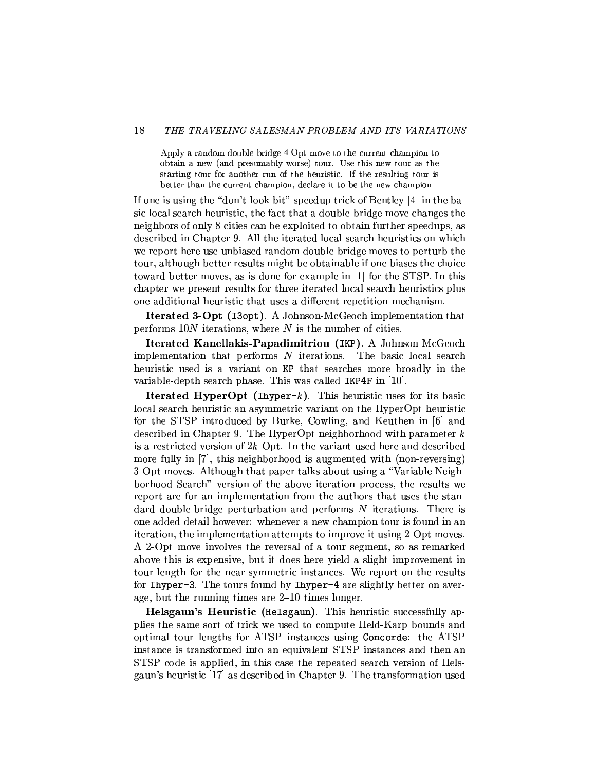Apply a random double-bridge 4-Opt move to the current champion to obtain a new (and presumably worse) tour. Use this new tour as the starting tour for another run of the heuristic. If the resulting tour is better than the current champion, declare it to be the new champion.

If one is using the "don't-look bit" speedup trick of Bentley [4] in the basic local search heuristic, the fact that a double-bridge move changes the neighbors of only 8 cities can be exploited to obtain further speedups, as described in Chapter 9. All the iterated local search heuristics on which we report here use unbiased random double-bridge moves to perturb the tour, although better results might be obtainable if one biases the choice toward better moves, as is done for example in [1] for the STSP. In this chapter we present results for three iterated local search heuristics plus one additional heuristic that uses a different repetition mechanism.

Iterated 3-Opt (I3opt). A Johnson-McGeoch implementation that performs  $10N$  iterations, where N is the number of cities.

**Iterated Kanellakis-Papadimitriou** (IKP). A Johnson-McGeoch implementation that performs N iterations. The basic local search heuristic used is a variant on KP that searches more broadly in the variable-depth search phase. This was called IKP4F in [10].

**Iterated HyperOpt** (Ihyper-k). This heuristic uses for its basic local search heuristic an asymmetric variant on the HyperOpt heuristic for the STSP introduced by Burke, Cowling, and Keuthen in [6] and described in Chapter 9. The HyperOpt neighborhood with parameter  $k$ is a restricted version of  $2k$ -Opt. In the variant used here and described more fully in [7], this neighborhood is augmented with (non-reversing) 3-Opt moves. Although that paper talks about using a "Variable Neighborhood Search" version of the above iteration process, the results we report are for an implementation from the authors that uses the standard double-bridge perturbation and performs  $N$  iterations. There is one added detail however: whenever a new champion tour is found in an iteration, the implementation attempts to improve it using 2-Opt moves. A 2-Opt move involves the reversal of a tour segment, so as remarked above this is expensive, but it does here yield a slight improvement in tour length for the near-symmetric instances. We report on the results for Ihyper-3. The tours found by Ihyper-4 are slightly better on average, but the running times are  $2-10$  times longer.

Helsgaun's Heuristic (Helsgaun). This heuristic successfully applies the same sort of trick we used to compute Held-Karp bounds and optimal tour lengths for ATSP instances using Concorde: the ATSP instance is transformed into an equivalent STSP instances and then an STSP code is applied, in this case the repeated search version of Helsgaun's heuristic [17] as described in Chapter 9. The transformation used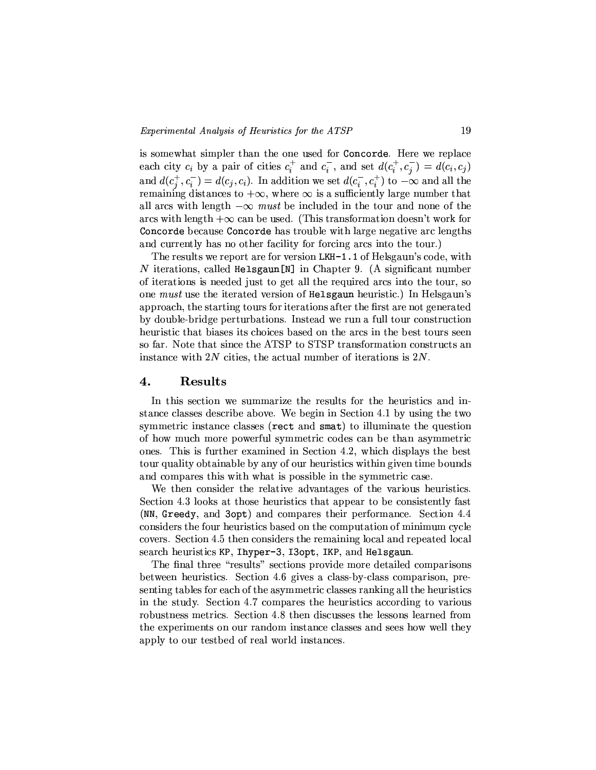is somewhat simpler than the one used for Concorde. Here we replace each city  $c_i$  by a pair of cities  $c_i^+$  and  $c_i^-$ , and set  $d(c_i^+, c_j^-) = d(c_i, c_j)$ and  $d(c_i^+, c_i^-) = d(c_j, c_i)$ . In addition we set  $d(c_i^-, c_i^+)$  to  $-\infty$  and all the remaining distances to  $+\infty$ , where  $\infty$  is a sufficiently large number that all arcs with length  $-\infty$  must be included in the tour and none of the arcs with length  $+\infty$  can be used. (This transformation doesn't work for Concorde because Concorde has trouble with large negative arc lengths and currently has no other facility for forcing arcs into the tour.)

The results we report are for version LKH-1.1 of Helsgaun's code, with N iterations, called Helsgaun [N] in Chapter 9. (A significant number of iterations is needed just to get all the required arcs into the tour, so one *must* use the iterated version of **Helsgaun** heuristic.) In Helsgaun's approach, the starting tours for iterations after the first are not generated by double-bridge perturbations. Instead we run a full tour construction heuristic that biases its choices based on the arcs in the best tours seen so far. Note that since the ATSP to STSP transformation constructs an instance with  $2N$  cities, the actual number of iterations is  $2N$ .

#### 4. Results

In this section we summarize the results for the heuristics and instance classes describe above. We begin in Section 4.1 by using the two symmetric instance classes (rect and smat) to illuminate the question of how much more powerful symmetric codes can be than asymmetric ones. This is further examined in Section 4.2, which displays the best tour quality obtainable by any of our heuristics within given time bounds and compares this with what is possible in the symmetric case.

We then consider the relative advantages of the various heuristics. Section 4.3 looks at those heuristics that appear to be consistently fast (NN, Greedy, and 3opt) and compares their performance. Section 4.4 considers the four heuristics based on the computation of minimum cycle covers. Section 4.5 then considers the remaining local and repeated local search heuristics KP, Ihyper-3, I3opt, IKP, and Helsgaun.

The final three "results" sections provide more detailed comparisons between heuristics. Section 4.6 gives a class-by-class comparison, presenting tables for each of the asymmetric classes ranking all the heuristics in the study. Section 4.7 compares the heuristics according to various robustness metrics. Section 4.8 then discusses the lessons learned from the experiments on our random instance classes and sees how well they apply to our testbed of real world instances.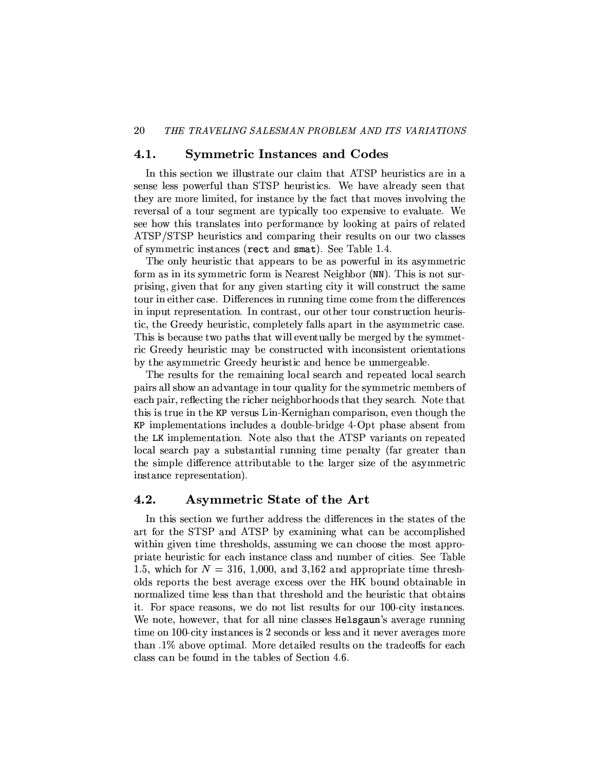## **Symmetric Instances and Codes** 4.1.

In this section we illustrate our claim that ATSP heuristics are in a sense less powerful than STSP heuristics. We have already seen that they are more limited, for instance by the fact that moves involving the reversal of a tour segment are typically too expensive to evaluate. We see how this translates into performance by looking at pairs of related ATSP/STSP heuristics and comparing their results on our two classes of symmetric instances (rect and smat). See Table 1.4.

The only heuristic that appears to be as powerful in its asymmetric form as in its symmetric form is Nearest Neighbor (NN). This is not surprising, given that for any given starting city it will construct the same tour in either case. Differences in running time come from the differences in input representation. In contrast, our other tour construction heuristic, the Greedy heuristic, completely falls apart in the asymmetric case. This is because two paths that will eventually be merged by the symmetric Greedy heuristic may be constructed with inconsistent orientations by the asymmetric Greedy heuristic and hence be unmergeable.

The results for the remaining local search and repeated local search pairs all show an advantage in tour quality for the symmetric members of each pair, reflecting the richer neighborhoods that they search. Note that this is true in the KP versus Lin-Kernighan comparison, even though the KP implementations includes a double-bridge 4-Opt phase absent from the LK implementation. Note also that the ATSP variants on repeated local search pay a substantial running time penalty (far greater than the simple difference attributable to the larger size of the asymmetric instance representation).

## 4.2. **Asymmetric State of the Art**

In this section we further address the differences in the states of the art for the STSP and ATSP by examining what can be accomplished within given time thresholds, assuming we can choose the most appropriate heuristic for each instance class and number of cities. See Table 1.5, which for  $N = 316$ , 1,000, and 3,162 and appropriate time thresholds reports the best average excess over the HK bound obtainable in normalized time less than that threshold and the heuristic that obtains it. For space reasons, we do not list results for our 100-city instances. We note, however, that for all nine classes Helsgaun's average running time on 100-city instances is 2 seconds or less and it never averages more than .1% above optimal. More detailed results on the tradeoffs for each class can be found in the tables of Section 4.6.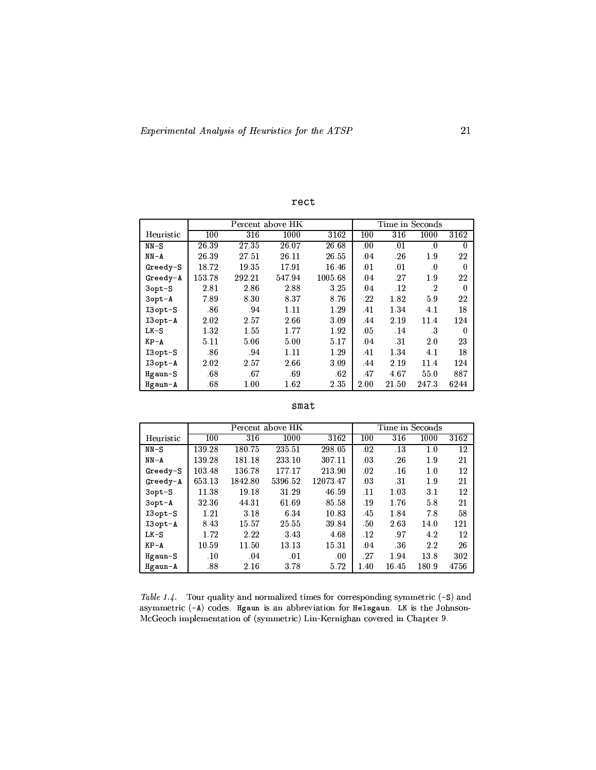|              |        | Percent above HK |        |         |      | Time in Seconds |           |          |
|--------------|--------|------------------|--------|---------|------|-----------------|-----------|----------|
| Heuristic    | 100    | 316              | 1000   | 3162    | 100  | 316             | 1000      | 3162     |
| $NN-S$       | 26.39  | 27.35            | 26.07  | 26.68   | .00  | .01             | $\cdot 0$ | $\theta$ |
| NN-A         | 26.39  | 27.51            | 26.11  | 26.55   | .04  | .26             | 1.9       | 22       |
| Greedy-S     | 18.72  | 1935             | 17.91  | 16.46   | .01  | .01             | $\cdot$   | $\theta$ |
| Greedy-A     | 153.78 | 292 21           | 547.94 | 1005.68 | .04  | .27             | 1.9       | 22       |
| 3opt-S       | 2.81   | 2.86             | 2.88   | 3.25    | .04  | .12             | $\cdot$   | $\theta$ |
| $3$ opt- $A$ | 7.89   | 8.30             | 8.37   | 8.76    | .22  | 1.82            | 5.9       | 22       |
| I3opt-S      | .86    | .94              | 1.11   | 1.29    | .41  | 1.34            | 4.1       | 18       |
| $I3opt-A$    | 2.02   | 2.57             | 2.66   | 3.09    | .44  | 2.19            | 11.4      | 124      |
| LK-S         | 1.32   | 1.55             | 1.77   | 1.92    | .05  | .14             | .3        | $\Omega$ |
| $KP-A$       | 5.11   | 5.06             | 5.00   | 5.17    | .04  | -31             | 2.0       | 23       |
| $I3opt-S$    | .86    | -94              | 1.11   | 1.29    | .41  | 1.34            | 4.1       | 18       |
| $I3opt-A$    | 2.02   | 2.57             | 2.66   | 3.09    | .44  | 2.19            | 11.4      | 124      |
| Hgaun-S      | .68    | .67              | .69    | -62     | .47  | 4.67            | 55.0      | 887      |
| Hgaun-A      | .68    | 1.00             | 1.62   | 2.35    | 2.00 | 21.50           | 247.3     | 6244     |

rect

 $smat$ 

|              |        |         | Percent above HK |          |      | Time in Seconds |       |      |
|--------------|--------|---------|------------------|----------|------|-----------------|-------|------|
| Heuristic    | 100    | 316     | 1000             | 3162     | 100  | 316             | 1000  | 3162 |
| $NN-S$       | 139.28 | 180.75  | 235.51           | 298.05   | .02  | .13             | 1.0   | 12   |
| NN-A         | 139.28 | 181.18  | 233.10           | 307.11   | 03   | .26             | 1.9   | 21   |
| Greedy-S     | 103.48 | 136.78  | 177.17           | 213.90   | .02  | $.16\,$         | 1.0   | 12   |
| Greedy-A     | 653.13 | 1842.80 | 5396.52          | 12073.47 | .03  | -31             | 1.9   | 21   |
| $3$ opt- $S$ | 11.38  | 19.18   | 31.29            | 46.59    | .11  | 1.03            | 3.1   | 12   |
| $3$ opt- $A$ | 32.36  | 44.31   | 61.69            | 85.58    | .19  | 1.76            | 5.8   | 21   |
| $I3opt-S$    | 1.21   | 3.18    | 6.34             | 10.83    | .45  | 1.84            | 7.8   | 58   |
| $I3opt-A$    | 8.43   | 15.57   | 25.55            | 39.84    | -50  | 2.63            | 14.0  | 121  |
| $LK-S$       | 1.72   | 2.22    | 3.43             | 4.68     | .12  | .97             | 4.2   | 12   |
| $KP - A$     | 10.59  | 11.50   | 13.13            | 15.31    | .04  | -36             | 2.2   | 26   |
| Hgaun-S      | .10    | .04     | .01              | .00.     | 27   | 1.94            | 13.8  | 302  |
| Hgaun-A      | .88    | 2.16    | 3.78             | 5.72     | 1.40 | 16.45           | 180.9 | 4756 |

Table 1.4. Tour quality and normalized times for corresponding symmetric (-S) and asymmetric (-A) codes. Hgaun is an abbreviation for Helsgaun. LK is the Johnson-McGeoch implementation of (symmetric) Lin-Kernighan covered in Chapter 9.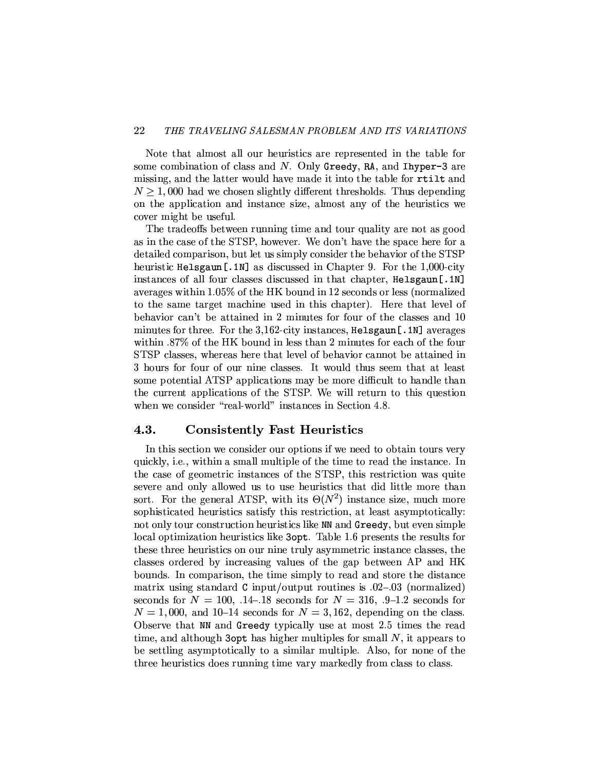Note that almost all our heuristics are represented in the table for some combination of class and  $N$ . Only Greedy, RA, and Ihyper-3 are missing, and the latter would have made it into the table for rutilum and  $N \geq 1,000$  had we chosen slightly different thresholds. Thus depending on the application and instance size, almost any of the heuristics we cover might be useful.

The tradeoffs between running time and tour quality are not as good as in the case of the STSP, however. We don't have the space here for a detailed comparison, but let us simply consider the behavior of the STSP heuristic Helsgaun [.1N] as discussed in Chapter 9. For the 1,000-city instances of all four classes discussed in that chapter, Helsgaun[.1N] averages within 1.05% of the HK bound in 12 seconds or less (normalized to the same target machine used in this chapter). Here that level of behavior can't be attained in 2 minutes for four of the classes and 10 minutes for three. For the 3,162-city instances, Helsgaun [.1N] averages within .87% of the HK bound in less than 2 minutes for each of the four STSP classes, whereas here that level of behavior cannot be attained in 3 hours for four of our nine classes. It would thus seem that at least some potential ATSP applications may be more difficult to handle than the current applications of the STSP. We will return to this question when we consider "real-world" instances in Section 4.8.

## 4.3. **Consistently Fast Heuristics**

In this section we consider our options if we need to obtain tours very quickly, i.e., within a small multiple of the time to read the instance. In the case of geometric instances of the STSP, this restriction was quite severe and only allowed us to use heuristics that did little more than sort. For the general ATSP, with its  $\Theta(N^2)$  instance size, much more sophisticated heuristics satisfy this restriction, at least asymptotically: not only tour construction heuristics like NN and Greedy, but even simple local optimization heuristics like 3opt. Table 1.6 presents the results for these three heuristics on our nine truly asymmetric instance classes, the classes ordered by increasing values of the gap between AP and HK bounds. In comparison, the time simply to read and store the distance matrix using standard  $C$  input/output routines is .02–.03 (normalized) seconds for  $N = 100$ , .14-.18 seconds for  $N = 316$ , .9-1.2 seconds for  $N = 1,000$ , and 10-14 seconds for  $N = 3,162$ , depending on the class. Observe that NN and Greedy typically use at most 2.5 times the read time, and although 3opt has higher multiples for small  $N$ , it appears to be settling asymptotically to a similar multiple. Also, for none of the three heuristics does running time vary markedly from class to class.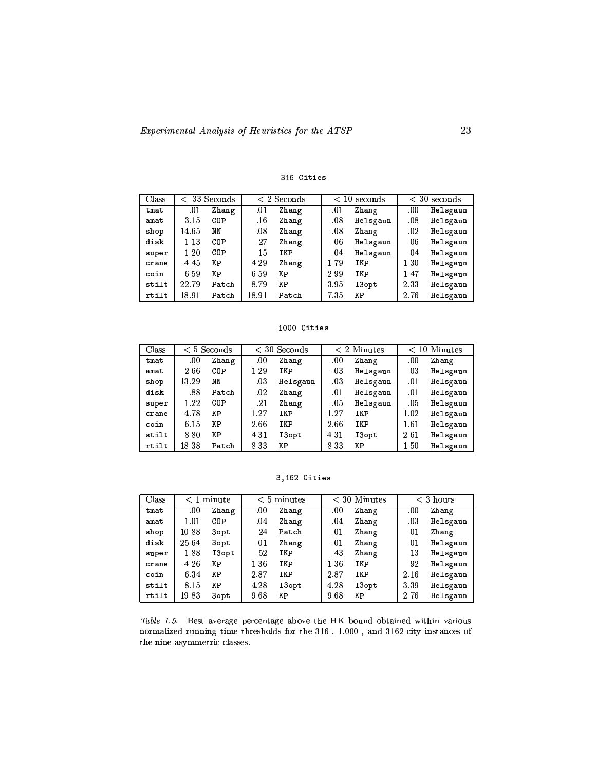| Class |       | $<$ 33 Seconds |         | $\overline{<}$ 2 Seconds | < 10 | seconds  |      | $<$ 30 seconds |
|-------|-------|----------------|---------|--------------------------|------|----------|------|----------------|
| tmat  | .01   | Zhang          | .01     | Zhang                    | .01  | Zhang    | .00. | Helsgaun       |
| amat  | 3.15  | COP            | $.16\,$ | Zhang                    | .08  | Helsgaun | .08  | Helsgaun       |
| shop  | 14.65 | NN             | .08     | Zhang                    | .08  | Zhang    | .02  | Helsgaun       |
| disk  | 1.13  | CDP            | -27     | Zhang                    | .06  | Helsgaun | .06  | Helsgaun       |
| super | 1.20  | COP            | .15     | IKP                      | .04  | Helsgaun | .04  | Helsgaun       |
| crane | 4.45  | ΚP             | 4.29    | Zhang                    | 1.79 | IKP      | 1.30 | Helsgaun       |
| coin  | 6.59  | ΚP             | 6.59    | КP                       | 2.99 | IKP      | 1.47 | Helsgaun       |
| stilt | 22.79 | Patch          | 8.79    | ΚP                       | 3.95 | I3opt    | 2.33 | Helsgaun       |
| rtilt | 18.91 | Patch          | 18.91   | Patch                    | 7.35 | ΚP       | 2.76 | Helsgaun       |

316 Cities

1000 Cities

| Class |       | $< 5$ Seconds |         | $<$ 30 Seconds |      | $<$ 2 Minutes |      | $<$ 10 Minutes |
|-------|-------|---------------|---------|----------------|------|---------------|------|----------------|
| tmat  | .00.  | Zhang         | .00     | Zhang          | .00  | Zhang         | .00. | Zhang          |
| amat  | 2.66  | COP           | 1.29    | IKP            | .03  | Helsgaun      | .03  | Helsgaun       |
| shop  | 13.29 | NN            | .03     | Helsgaun       | .03  | Helsgaun      | .01  | Helsgaun       |
| disk  | -88   | Patch         | $.02\,$ | Zhang          | .01  | Helsgaun      | .01  | Helsgaun       |
| super | 1.22  | COP           | -21     | Zhang          | .05  | Helsgaun      | .05  | Helsgaun       |
| crane | 4.78  | ΚP            | 1.27    | IKP            | 1.27 | IKP           | 1.02 | Helsgaun       |
| coin  | 6.15  | ΚP            | 2.66    | IKP            | 2.66 | IKP           | 1.61 | Helsgaun       |
| stilt | 8.80  | ΚP            | 4.31    | I3opt          | 4.31 | I3opt         | 2.61 | Helsgaun       |
| rtilt | 18.38 | Patch         | 8.33    | ΚP             | 8.33 | ΚP            | 1.50 | Helsgaun       |

3,162 Cities

| Class | $<$ 1 | minute | < 5  | minutes |      | $<$ 30 Minutes |      | $<$ 3 hours |
|-------|-------|--------|------|---------|------|----------------|------|-------------|
| tmat  | .00   | Zhang  | .00  | Zhang   | .00  | Zhang          | .00  | Zhang       |
| amat  | 1.01  | COP    | .04  | Zhang   | .04  | Zhang          | .03  | Helsgaun    |
| shop  | 10.88 | 3opt   | -24  | Patch   | .01  | Zhang          | .01  | Zhang       |
| disk  | 25.64 | 3opt   | .01  | Zhang   | .01  | Zhang          | .01  | Helsgaun    |
| super | 1.88  | I3opt  | -52  | IKP     | -43  | Zhang          | .13  | Helsgaun    |
| crane | 4.26  | ΚP     | 1.36 | IKP     | 1.36 | IKP            | .92  | Helsgaun    |
| coin  | 6.34  | ΚP     | 2.87 | IKP     | 2.87 | IKP            | 2.16 | Helsgaun    |
| stitt | 8.15  | ΚP     | 4.28 | I3opt   | 4.28 | I3opt          | 3.39 | Helsgaun    |
| rtilt | 19.83 | 3opt   | 9.68 | ΚP      | 9.68 | ΚP             | 2.76 | Helsgaun    |

Table 1.5. Best average percentage above the HK bound obtained within various normalized running time thresholds for the 316-, 1,000-, and 3162-city instances of the nine asymmetric classes.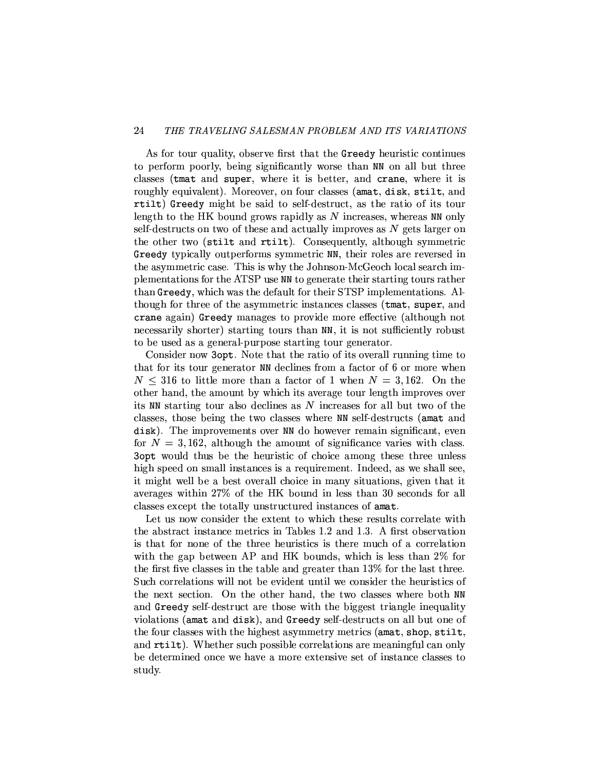As for tour quality, observe first that the Greedy heuristic continues to perform poorly, being significantly worse than NN on all but three classes (tmat and super, where it is better, and crane, where it is roughly equivalent). Moreover, on four classes (amat, disk, stilt, and rtilt) Greedy might be said to self-destruct, as the ratio of its tour length to the HK bound grows rapidly as  $N$  increases, whereas NN only self-destructs on two of these and actually improves as  $N$  gets larger on the other two (stilt and rtilt). Consequently, although symmetric Greedy typically outperforms symmetric NN, their roles are reversed in the asymmetric case. This is why the Johnson-McGeoch local search implementations for the ATSP use NN to generate their starting tours rather than Greedy, which was the default for their STSP implementations. Although for three of the asymmetric instances classes (tmat, super, and crane again) Greedy manages to provide more effective (although not necessarily shorter) starting tours than NN, it is not sufficiently robust to be used as a general-purpose starting tour generator.

Consider now 30pt. Note that the ratio of its overall running time to that for its tour generator NN declines from a factor of 6 or more when  $N \leq 316$  to little more than a factor of 1 when  $N = 3,162$ . On the other hand, the amount by which its average tour length improves over its NN starting tour also declines as N increases for all but two of the classes, those being the two classes where NN self-destructs (amat and disk). The improvements over NN do however remain significant, even for  $N = 3,162$ , although the amount of significance varies with class. 3 opt would thus be the heuristic of choice among these three unless high speed on small instances is a requirement. Indeed, as we shall see, it might well be a best overall choice in many situations, given that it averages within 27% of the HK bound in less than 30 seconds for all classes except the totally unstructured instances of amat.

Let us now consider the extent to which these results correlate with the abstract instance metrics in Tables 1.2 and 1.3. A first observation is that for none of the three heuristics is there much of a correlation with the gap between AP and HK bounds, which is less than 2% for the first five classes in the table and greater than 13% for the last three. Such correlations will not be evident until we consider the heuristics of the next section. On the other hand, the two classes where both NN and Greedy self-destruct are those with the biggest triangle inequality violations (amat and disk), and Greedy self-destructs on all but one of the four classes with the highest asymmetry metrics (amat, shop, stilt, and rtilt). Whether such possible correlations are meaningful can only be determined once we have a more extensive set of instance classes to study.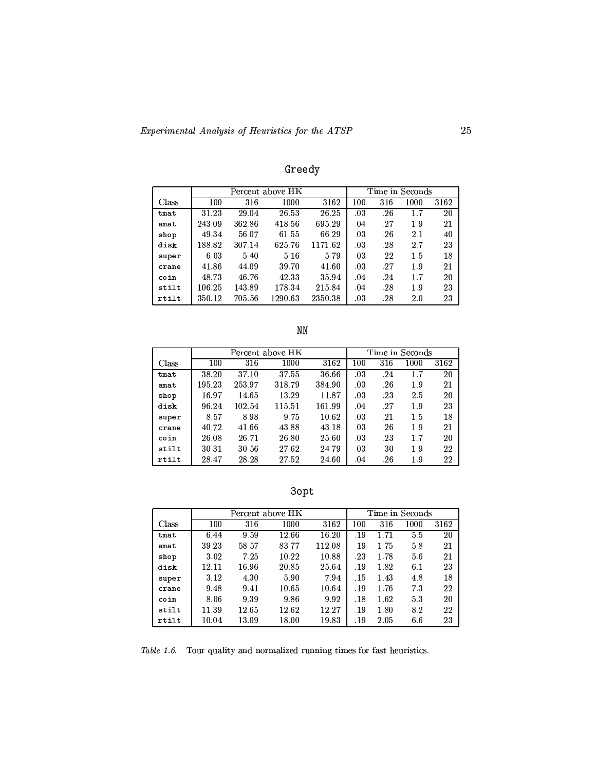|       |        |        | Percent above HK |         |     |     | Time in Seconds |      |
|-------|--------|--------|------------------|---------|-----|-----|-----------------|------|
| Class | 100    | 316    | 1000             | 3162    | 100 | 316 | 1000            | 3162 |
| tmat  | 31.23  | 29.04  | 26.53            | 26.25   | .03 | .26 | 1.7             | 20   |
| amat  | 243.09 | 362.86 | 418.56           | 695.29  | .04 | .27 | 1.9             | 21   |
| shop  | 49.34  | 56.07  | 61.55            | 66.29   | .03 | -26 | 2.1             | 40   |
| disk  | 188.82 | 307.14 | 625.76           | 1171.62 | .03 | .28 | 2.7             | 23   |
| super | 6.03   | 5.40   | 5.16             | 5.79    | .03 | .22 | 1.5             | 18   |
| crane | 41.86  | 44.09  | 39.70            | 41.60   | .03 | .27 | 1.9             | 21   |
| coin  | 48.73  | 46.76  | 42.33            | 35.94   | .04 | .24 | 1.7             | 20   |
| stilt | 106.25 | 143.89 | 178.34           | 215.84  | .04 | .28 | 19              | 23   |
| rtilt | 350.12 | 705.56 | 1290.63          | 2350.38 | .03 | .28 | 2.0             | 23   |

Greedy

 $\rm NN$ 

|       |        |        | Percent above HK |        |     |     | Time in Seconds |      |
|-------|--------|--------|------------------|--------|-----|-----|-----------------|------|
| Class | 100    | 316    | 1000             | 3162   | 100 | 316 | 1000            | 3162 |
| tmat  | 38.20  | 37.10  | 37.55            | 36.66  | .03 | -24 | 1.7             | 20   |
| amat  | 195.23 | 253.97 | 318.79           | 384.90 | .03 | .26 | 19              | 21   |
| shop  | 16.97  | 14.65  | 13.29            | 11.87  | .03 | -23 | 2.5             | 20   |
| disk  | 96.24  | 102.54 | 115.51           | 161.99 | .04 | .27 | 1.9             | 23   |
| super | 8.57   | 8.98   | 9.75             | 10.62  | .03 | .21 | 1.5             | 18   |
| crane | 40.72  | 41.66  | 43.88            | 43.18  | .03 | 26  | 19              | 21   |
| coin  | 26.08  | 26.71  | 26.80            | 25.60  | .03 | .23 | 1.7             | 20   |
| stilt | 30.31  | 30.56  | 27.62            | 24.79  | .03 | -30 | 1.9             | 22   |
| rtilt | 28.47  | 28.28  | 27.52            | 24.60  | .04 | .26 | 19              | 22   |

3opt

|       |       | Percent above HK |       |        |     |      | Time in Seconds |      |
|-------|-------|------------------|-------|--------|-----|------|-----------------|------|
| Class | 100   | 316              | 1000  | 3162   | 100 | 316  | 1000            | 3162 |
| tmat  | 6.44  | 9.59             | 12.66 | 16.20  | .19 | 1.71 | 55              | 20   |
| amat  | 39.23 | 58.57            | 83.77 | 112.08 | .19 | 1.75 | 5.8             | 21   |
| shop  | 3.02  | 7.25             | 10.22 | 10.88  | -23 | 1.78 | 5.6             | 21   |
| disk  | 12.11 | 16.96            | 20.85 | 25.64  | .19 | 1.82 | 6.1             | 23   |
| super | 3.12  | 4.30             | 5.90  | 7.94   | .15 | 1.43 | 4.8             | 18   |
| crane | 9.48  | 9.41             | 10.65 | 10.64  | .19 | 1.76 | 73              | 22   |
| coin  | 8.06  | 9.39             | 9.86  | 9.92   | .18 | 1.62 | 53              | 20   |
| stilt | 11.39 | 12.65            | 12.62 | 12.27  | .19 | 1.80 | 8.2             | 22   |
| rtilt | 10.04 | 13.09            | 18.00 | 19.83  | .19 | 2.05 | 6.6             | 23   |

Table 1.6. Tour quality and normalized running times for fast heuristics.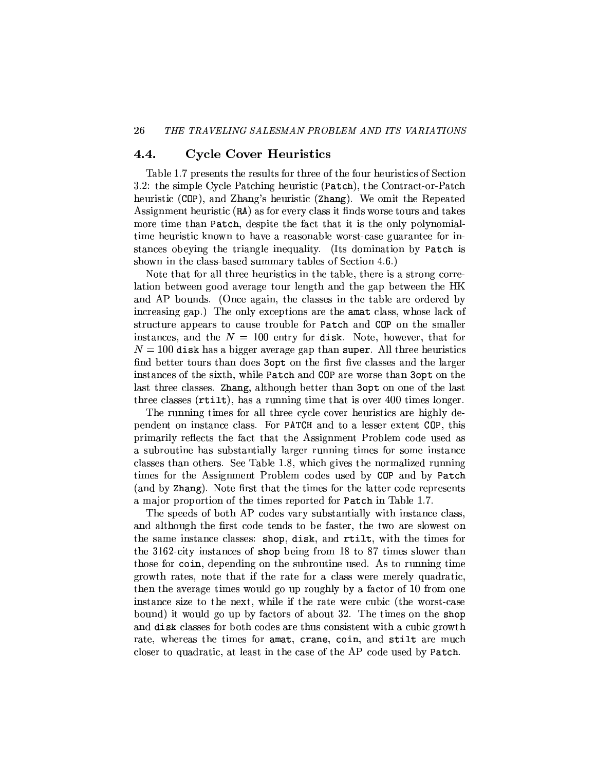### 4.4. **Cycle Cover Heuristics**

Table 1.7 presents the results for three of the four heuristics of Section 3.2: the simple Cycle Patching heuristic (Patch), the Contract-or-Patch heuristic (COP), and Zhang's heuristic (Zhang). We omit the Repeated Assignment heuristic (RA) as for every class it finds worse tours and takes more time than Patch, despite the fact that it is the only polynomialtime heuristic known to have a reasonable worst-case guarantee for instances obeying the triangle inequality. (Its domination by Patch is shown in the class-based summary tables of Section 4.6.)

Note that for all three heuristics in the table, there is a strong correlation between good average tour length and the gap between the HK and AP bounds. (Once again, the classes in the table are ordered by increasing gap.) The only exceptions are the **amat** class, whose lack of structure appears to cause trouble for Patch and COP on the smaller instances, and the  $N = 100$  entry for disk. Note, however, that for  $N = 100$  disk has a bigger average gap than super. All three heuristics find better tours than does 30pt on the first five classes and the larger instances of the sixth, while Patch and COP are worse than 3opt on the last three classes. Zhang, although better than 30pt on one of the last three classes (rtilt), has a running time that is over 400 times longer.

The running times for all three cycle cover heuristics are highly dependent on instance class. For PATCH and to a lesser extent COP, this primarily reflects the fact that the Assignment Problem code used as a subroutine has substantially larger running times for some instance classes than others. See Table 1.8, which gives the normalized running times for the Assignment Problem codes used by COP and by Patch (and by Zhang). Note first that the times for the latter code represents a major proportion of the times reported for Patch in Table 1.7.

The speeds of both AP codes vary substantially with instance class, and although the first code tends to be faster, the two are slowest on the same instance classes: shop, disk, and rtilt, with the times for the 3162-city instances of shop being from 18 to 87 times slower than those for coin, depending on the subroutine used. As to running time growth rates, note that if the rate for a class were merely quadratic, then the average times would go up roughly by a factor of 10 from one instance size to the next, while if the rate were cubic (the worst-case bound) it would go up by factors of about 32. The times on the shop and disk classes for both codes are thus consistent with a cubic growth rate, whereas the times for amat, crane, coin, and stilt are much closer to quadratic, at least in the case of the AP code used by Patch.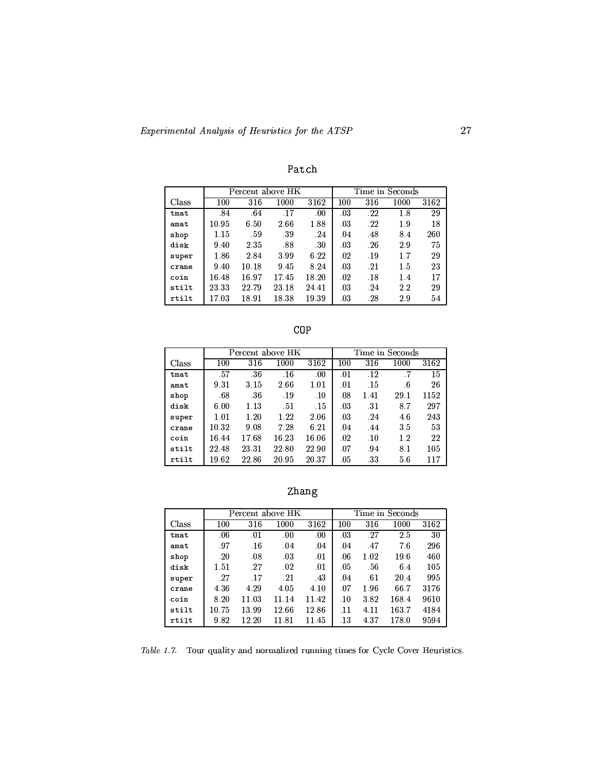|       |       | Percent above HK |       |       | Time in Seconds |     |          |      |  |  |
|-------|-------|------------------|-------|-------|-----------------|-----|----------|------|--|--|
| Class | 100   | 316              | 1000  | 3162  | 100             | 316 | $1000\,$ | 3162 |  |  |
| tmat  | .84   | .64              | .17   | .00.  | .03             | .22 | 1.8      | 29   |  |  |
| amat  | 10.95 | 6.50             | 2.66  | 1.88  | .03             | .22 | 1.9      | 18   |  |  |
| shop  | 1.15  | -59              | -39   | -24   | .04             | .48 | 8.4      | 260  |  |  |
| disk  | 9.40  | 2.35             | .88   | -30   | .03             | -26 | 29       | 75   |  |  |
| super | 1.86  | 2.84             | 3.99  | 6.22  | .02             | .19 | 1.7      | 29   |  |  |
| crane | 9.40  | 10.18            | 9.45  | 8.24  | .03             | .21 | 1.5      | 23   |  |  |
| coin  | 16.48 | 16.97            | 17.45 | 18.20 | .02             | .18 | 1.4      | 17   |  |  |
| stilt | 23.33 | 22.79            | 23.18 | 24.41 | .03             | 24  | 2.2      | 29   |  |  |
| rtilt | 17.03 | 18.91            | 18.38 | 19.39 | 03              | .28 | 2.9      | 54   |  |  |

Patch

|       |         | Percent above HK |       | Time in Seconds |                |                 |      |      |
|-------|---------|------------------|-------|-----------------|----------------|-----------------|------|------|
| Class | $100\,$ | 316              | 1000  | 3162            | 100            | 316             | 1000 | 3162 |
| tmat  | .57     | -36              | .16   | .00             | .01            | $\overline{12}$ | .7   | 15   |
| amat  | 9.31    | 3.15             | 2.66  | 1.01            | .01            | .15             | -6   | 26   |
| shop  | .68     | -36              | .19   | $.10\,$         | .08            | 1.41            | 29.1 | 1152 |
| disk  | 6.00    | 1.13             | -51   | $.15\,$         | .03            | -31             | 8.7  | 297  |
| super | 1.01    | 1.20             | 1.22  | 2.06            | .03            | -24             | 4.6  | 243  |
| crane | 10.32   | 9.08             | 7.28  | 6.21            | .04            | -44             | 35   | 53   |
| coin  | 16.44   | 17.68            | 16.23 | 16.06           | 0 <sub>2</sub> | .10             | 1.2  | 22   |
| stilt | 22.48   | 23.31            | 22.80 | 22.90           | .07            | .94             | 81   | 105  |
| rtilt | 19.62   | 22.86            | 20.95 | 20.37           | .05            | -33             | 5.6  | 117  |

 $Zhang$ 

|       |         | Percent above HK |            |       | Time in Seconds |      |       |      |  |
|-------|---------|------------------|------------|-------|-----------------|------|-------|------|--|
| Class | $100\,$ | 316              | 1000       | 3162  | 100             | 316  | 1000  | 3162 |  |
| tmat  | .06     | .01              | .00        | .00   | -03             | -27  | 2.5   | 30   |  |
| amat  | -97     | $.16\,$          | .04        | .04   | .04             | .47  | 7.6   | 296  |  |
| shop  | -20     | -08              | -03        | .01   | -06             | 1.02 | 19.6  | 460  |  |
| disk  | 1.51    | -27              | $\cdot$ 02 | .01   | -05             | .56  | 64    | 105  |  |
| super | .27     | .17              | .21        | .43   | .04             | -61  | 20.4  | 995  |  |
| crane | 4.36    | 4.29             | 4.05       | 4.10  | .07             | 1.96 | 66.7  | 3176 |  |
| coin  | 8.20    | 11.03            | 11.14      | 11.42 | $.10\,$         | 3.82 | 168.4 | 9610 |  |
| stilt | 10.75   | 13.99            | 12.66      | 12.86 | .11             | 4.11 | 163.7 | 4184 |  |
| rtilt | 9.82    | 12.20            | 11.81      | 11.45 | .13             | 4.37 | 178.0 | 9594 |  |

Table 1.7. Tour quality and normalized running times for Cycle Cover Heuristics.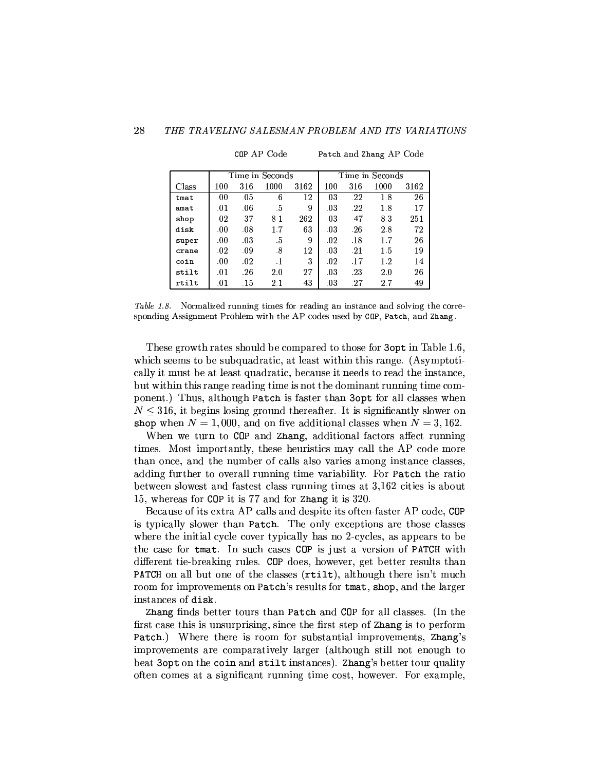|       |      |     | Time in Seconds |      | Time in Seconds |     |      |      |  |
|-------|------|-----|-----------------|------|-----------------|-----|------|------|--|
| Class | 100  | 316 | 1000            | 3162 | 100             | 316 | 1000 | 3162 |  |
| tmat  | .00. | .05 | .6              | 12   | 03              | .22 | 1.8  | 26   |  |
| amat  | .01  | .06 | -5              | 9    | .03             | 22  | 1.8  | 17   |  |
| shop  | .02  | -37 | 8.1             | 262  | .03             | .47 | 83   | 251  |  |
| disk  | .00. | .08 | 1.7             | 63   | .03             | .26 | 2.8  | 72   |  |
| super | .00. | .03 | -5              | 9    | .02             | .18 | 1.7  | 26   |  |
| crane | .02  | .09 | .8              | 12   | .03             | .21 | 1.5  | 19   |  |
| coin  | .00. | .02 | $\cdot$ 1       | 3    | .02             | .17 | 1.2  | 14   |  |
| stilt | .01  | -26 | $2.0\,$         | 27   | .03             | -23 | 2.0  | 26   |  |
| rtilt | .01  | .15 | $2.1\,$         | 43   | -03             | -27 | 2.7  | 49   |  |

COP AP Code

Patch and Zhang AP Code

Table 1.8. Normalized running times for reading an instance and solving the corresponding Assignment Problem with the AP codes used by COP, Patch, and Zhang.

These growth rates should be compared to those for 3opt in Table 1.6, which seems to be subquadratic, at least within this range. (Asymptotically it must be at least quadratic, because it needs to read the instance, but within this range reading time is not the dominant running time component.) Thus, although Patch is faster than 3opt for all classes when  $N \leq 316$ , it begins losing ground thereafter. It is significantly slower on shop when  $N = 1,000$ , and on five additional classes when  $N = 3,162$ .

When we turn to COP and Zhang, additional factors affect running times. Most importantly, these heuristics may call the AP code more than once, and the number of calls also varies among instance classes, adding further to overall running time variability. For Patch the ratio between slowest and fastest class running times at 3,162 cities is about 15, whereas for COP it is 77 and for Zhang it is 320.

Because of its extra AP calls and despite its often-faster AP code, COP is typically slower than Patch. The only exceptions are those classes where the initial cycle cover typically has no 2-cycles, as appears to be the case for tmat. In such cases COP is just a version of PATCH with different tie-breaking rules. COP does, however, get better results than **PATCH** on all but one of the classes (rtilt), although there isn't much room for improvements on Patch's results for tmat, shop, and the larger instances of disk.

Zhang finds better tours than Patch and COP for all classes. (In the first case this is unsurprising, since the first step of Zhang is to perform Patch.) Where there is room for substantial improvements, Zhang's improvements are comparatively larger (although still not enough to beat 3opt on the coin and stilt instances). Zhang's better tour quality often comes at a significant running time cost, however. For example,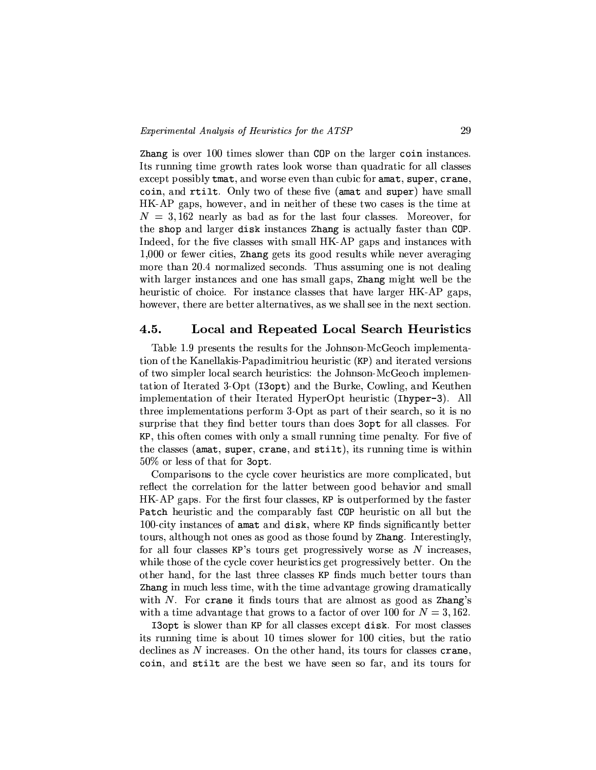Zhang is over 100 times slower than COP on the larger coin instances. Its running time growth rates look worse than quadratic for all classes except possibly tmat, and worse even than cubic for amat, super, crane, coin, and rtilt. Only two of these five (amat and super) have small HK-AP gaps, however, and in neither of these two cases is the time at  $N = 3,162$  nearly as bad as for the last four classes. Moreover, for the shop and larger disk instances Zhang is actually faster than COP. Indeed, for the five classes with small HK-AP gaps and instances with 1,000 or fewer cities, Zhang gets its good results while never averaging more than 20.4 normalized seconds. Thus assuming one is not dealing with larger instances and one has small gaps, Zhang might well be the heuristic of choice. For instance classes that have larger HK-AP gaps, however, there are better alternatives, as we shall see in the next section.

### $4.5.$ Local and Repeated Local Search Heuristics

Table 1.9 presents the results for the Johnson-McGeoch implementation of the Kanellakis-Papadimitriou heuristic (KP) and iterated versions of two simpler local search heuristics: the Johnson-McGeoch implementation of Iterated 3-Opt (130pt) and the Burke, Cowling, and Keuthen implementation of their Iterated HyperOpt heuristic (Ihyper-3). All three implementations perform 3-Opt as part of their search, so it is no surprise that they find better tours than does 3 opt for all classes. For KP, this often comes with only a small running time penalty. For five of the classes (amat, super, crane, and stilt), its running time is within 50\% or less of that for 3opt.

Comparisons to the cycle cover heuristics are more complicated, but reflect the correlation for the latter between good behavior and small HK-AP gaps. For the first four classes, KP is outperformed by the faster Patch heuristic and the comparably fast COP heuristic on all but the 100-city instances of amat and disk, where KP finds significantly better tours, although not ones as good as those found by Zhang. Interestingly, for all four classes  $KP$ 's tours get progressively worse as N increases, while those of the cycle cover heuristics get progressively better. On the other hand, for the last three classes KP finds much better tours than Zhang in much less time, with the time advantage growing dramatically with  $N$ . For crane it finds tours that are almost as good as Zhang's with a time advantage that grows to a factor of over 100 for  $N = 3,162$ .

13 opt is slower than KP for all classes except disk. For most classes its running time is about 10 times slower for 100 cities, but the ratio declines as  $N$  increases. On the other hand, its tours for classes crane, coin, and stilt are the best we have seen so far, and its tours for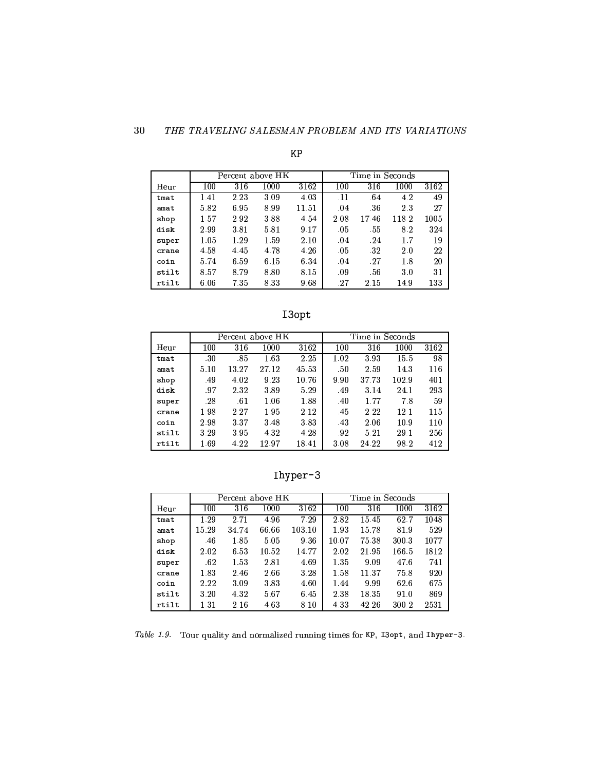## $30<sup>°</sup>$ THE TRAVELING SALESMAN PROBLEM AND ITS VARIATIONS

|       |      |      | Percent above HK |       | Time in Seconds |       |       |      |
|-------|------|------|------------------|-------|-----------------|-------|-------|------|
| Heur  | 100  | 316  | 1000             | 3162  | 100             | 316   | 1000  | 3162 |
| tmat  | 1.41 | 2.23 | 3.09             | 4.03  | .11             | -64   | 4.2   | 49   |
| amat  | 5.82 | 6.95 | 8.99             | 11.51 | -04             | -36   | 23    | 27   |
| shop  | 1.57 | 2.92 | 3.88             | 4.54  | 2.08            | 17.46 | 118.2 | 1005 |
| disk  | 2.99 | 3.81 | 5.81             | 9.17  | -05             | -55   | 8.2   | 324  |
| super | 1.05 | 1.29 | 1.59             | 2.10  | .04             | $-24$ | 1.7   | 19   |
| crane | 4.58 | 4.45 | 4.78             | 4.26  | .05             | -32   | 2.0   | 22   |
| coin  | 5.74 | 6.59 | 6.15             | 6.34  | .04             | -27   | 1.8   | 20   |
| stilt | 8.57 | 8.79 | 8.80             | 8.15  | -09             | -56   | 3.0   | 31   |
| rtilt | 6.06 | 7 35 | 8.33             | 9.68  | .27             | 2.15  | 14.9  | 133  |

I3opt

|       |      |       | Percent above HK |       | Time in Seconds |       |       |      |
|-------|------|-------|------------------|-------|-----------------|-------|-------|------|
| Heur  | 100  | 316   | 1000             | 3162  | 100             | 316   | 1000  | 3162 |
| tmat  | .30  | .85   | 1.63             | 2.25  | 1.02            | 3.93  | 15.5  | 98   |
| amat  | 5.10 | 13.27 | 27.12            | 45.53 | -50             | 2.59  | 14.3  | 116  |
| shop  | .49  | 4.02  | 9.23             | 10.76 | 9.90            | 37.73 | 102.9 | 401  |
| disk  | .97  | 2.32  | 3.89             | 5.29  | .49             | 3.14  | 24.1  | 293  |
| super | .28  | .61   | 1.06             | 1.88  | .40             | 1.77  | 7.8   | 59   |
| crane | 1.98 | 2.27  | 1.95             | 2.12  | .45             | 2.22  | 12.1  | 115  |
| coin  | 2.98 | 3.37  | 3.48             | 3.83  | -43             | 2.06  | 10.9  | 110  |
| stilt | 3.29 | 395   | 4.32             | 4.28  | .92             | 5.21  | 29.1  | 256  |
| rtilt | 1.69 | 4.22  | 12.97            | 18.41 | 3.08            | 24.22 | 98.2  | 412  |

|       |       |       | Percent above HK |        | Time in Seconds |       |       |      |  |
|-------|-------|-------|------------------|--------|-----------------|-------|-------|------|--|
| Heur  | 100   | 316   | 1000             | 3162   | 100             | 316   | 1000  | 3162 |  |
| tmat  | 1.29  | 2.71  | 4.96             | 7.29   | 2.82            | 15.45 | 62.7  | 1048 |  |
| amat  | 15.29 | 34.74 | 66.66            | 103.10 | 1.93            | 15.78 | 81.9  | 529  |  |
| shop  | .46   | 1.85  | 5.05             | 9.36   | 10.07           | 75.38 | 300.3 | 1077 |  |
| disk  | 2.02  | 6.53  | 10.52            | 14.77  | 2.02            | 21.95 | 166.5 | 1812 |  |
| super | .62   | 1.53  | 2.81             | 4.69   | 1.35            | 9.09  | 47.6  | 741  |  |
| crane | 1.83  | 2.46  | 2.66             | 3.28   | 1.58            | 11.37 | 75.8  | 920  |  |
| coin  | 2.22  | 3.09  | 3.83             | 4.60   | 1.44            | 9.99  | 62.6  | 675  |  |
| stilt | 3.20  | 4.32  | 5.67             | 6.45   | 2.38            | 18.35 | 91.0  | 869  |  |
| rtilt | 1.31  | 2.16  | 4.63             | 8.10   | 4.33            | 42.26 | 300.2 | 2531 |  |

 $Ihyper-3$ 

Table 1.9. Tour quality and normalized running times for KP, I3opt, and Ihyper-3.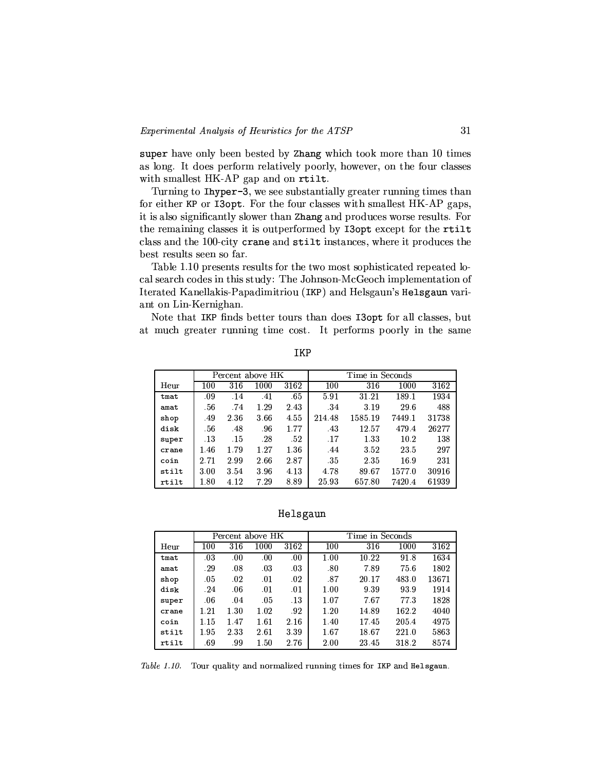super have only been bested by Zhang which took more than 10 times as long. It does perform relatively poorly, however, on the four classes with smallest HK-AP gap and on rtilt.

Turning to Ihyper-3, we see substantially greater running times than for either KP or I3opt. For the four classes with smallest HK-AP gaps, it is also significantly slower than Zhang and produces worse results. For the remaining classes it is outperformed by I3opt except for the rtilt class and the 100-city crane and stilt instances, where it produces the best results seen so far.

Table 1.10 presents results for the two most sophisticated repeated local search codes in this study: The Johnson-McGeoch implementation of Iterated Kanellakis-Papadimitriou (IKP) and Helsgaun's Helsgaun variant on Lin-Kernighan.

Note that IKP finds better tours than does 13 opt for all classes, but at much greater running time cost. It performs poorly in the same

|       |      |      | Percent above HK |      | Time in Seconds |         |        |       |  |  |
|-------|------|------|------------------|------|-----------------|---------|--------|-------|--|--|
| Heur  | 100  | 316  | 1000             | 3162 | 100             | 316     | 1000   | 3162  |  |  |
| tmat  | .09  | .14  | .41              | .65  | 5.91            | 31.21   | 189.1  | 1934  |  |  |
| amat  | .56  | .74  | 1.29             | 2.43 | -34             | 3.19    | 29.6   | 488   |  |  |
| shop  | .49  | 2.36 | 3.66             | 4.55 | 214.48          | 1585.19 | 7449.1 | 31738 |  |  |
| disk  | .56  | .48  | -96              | 1.77 | -43             | 12.57   | 479.4  | 26277 |  |  |
| super | .13  | .15  | .28              | -52  | .17             | 1.33    | 10.2   | 138   |  |  |
| crane | 1.46 | 1.79 | 1.27             | 1.36 | .44             | 3.52    | 23.5   | 297   |  |  |
| coin  | 2.71 | 2.99 | 2.66             | 2.87 | -35             | 2.35    | 16.9   | 231   |  |  |
| stilt | 3.00 | 3.54 | 3.96             | 4.13 | 4.78            | 89.67   | 1577.0 | 30916 |  |  |
| rtilt | 1.80 | 4.12 | 7.29             | 8.89 | 25.93           | 657.80  | 7420.4 | 61939 |  |  |

IKP

Helsgaun

|       |      |         | Percent above HK |             | Time in Seconds |       |       |       |  |  |
|-------|------|---------|------------------|-------------|-----------------|-------|-------|-------|--|--|
| Heur  | 100  | 316     | 1000             | 3162        | 100             | 316   | 1000  | 3162  |  |  |
| tmat  | .03  | .00     | .00              | .00.        | 1.00            | 10.22 | 91.8  | 1634  |  |  |
| amat  | -29  | .08     | -03              | .03         | .80             | 7.89  | 75.6  | 1802  |  |  |
| shop  | -05  | $.02\,$ | .01              | $\sqrt{02}$ | .87             | 20.17 | 483.0 | 13671 |  |  |
| disk  | .24  | .06     | .01              | .01         | 1.00            | 9.39  | 93.9  | 1914  |  |  |
| super | .06  | .04     | -05              | .13         | 1.07            | 7.67  | 77.3  | 1828  |  |  |
| crane | 1.21 | 1.30    | 1.02             | -92         | 1.20            | 14.89 | 162.2 | 4040  |  |  |
| coin  | 1.15 | 1.47    | 1.61             | 2.16        | 1.40            | 17.45 | 205.4 | 4975  |  |  |
| stilt | 1.95 | 2.33    | 2.61             | 3.39        | 1.67            | 18.67 | 221.0 | 5863  |  |  |
| rtilt | -69  | -99     | 1.50             | 2.76        | 2.00            | 23.45 | 318.2 | 8574  |  |  |

Table 1.10. Tour quality and normalized running times for IKP and Helsgaun.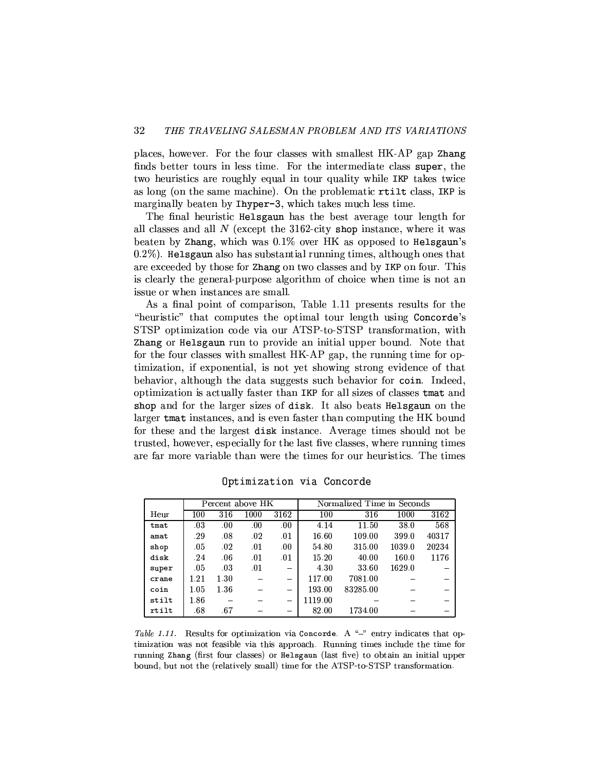places, however. For the four classes with smallest HK-AP gap Zhang finds better tours in less time. For the intermediate class super, the two heuristics are roughly equal in tour quality while IKP takes twice as long (on the same machine). On the problematic rtilt class, IKP is marginally beaten by Ihyper-3, which takes much less time.

The final heuristic Helsgaun has the best average tour length for all classes and all  $N$  (except the 3162-city shop instance, where it was beaten by Zhang, which was 0.1% over HK as opposed to Helsgaun's  $(0.2\%)$ . Helsgaun also has substantial running times, although ones that are exceeded by those for Zhang on two classes and by IKP on four. This is clearly the general-purpose algorithm of choice when time is not an issue or when instances are small.

As a final point of comparison, Table 1.11 presents results for the "heuristic" that computes the optimal tour length using Concorde's STSP optimization code via our ATSP-to-STSP transformation, with Zhang or Helsgaun run to provide an initial upper bound. Note that for the four classes with smallest HK-AP gap, the running time for optimization, if exponential, is not yet showing strong evidence of that behavior, although the data suggests such behavior for coin. Indeed, optimization is actually faster than IKP for all sizes of classes tmat and shop and for the larger sizes of disk. It also beats Helsgaun on the larger tmat instances, and is even faster than computing the HK bound for these and the largest disk instance. Average times should not be trusted, however, especially for the last five classes, where running times are far more variable than were the times for our heuristics. The times

|       |      |      | Percent above HK |                          | Normalized Time in Seconds |          |        |       |  |  |
|-------|------|------|------------------|--------------------------|----------------------------|----------|--------|-------|--|--|
| Heur  | 100  | 316  | 1000             | 3162                     | 100                        | 316      | 1000   | 3162  |  |  |
| tmat  | .03  | .00  | .00.             | .00                      | 4.14                       | 11.50    | 38.0   | 568   |  |  |
| amat  | -29  | .08  | $\cdot$ 02       | .01                      | 16.60                      | 109.00   | 399.0  | 40317 |  |  |
| shop  | .05  | .02  | .01              | .00                      | 54.80                      | 315.00   | 1039.0 | 20234 |  |  |
| disk  | .24  | .06  | .01              | .01                      | 15.20                      | 40.00    | 160.0  | 1176  |  |  |
| super | .05  | .03  | .01              | $\overline{\phantom{0}}$ | 4.30                       | 33.60    | 1629.0 |       |  |  |
| crane | 1.21 | 1.30 |                  |                          | 117.00                     | 7081.00  |        |       |  |  |
| coin  | 1.05 | 1.36 |                  |                          | 193.00                     | 83285.00 |        |       |  |  |
| stilt | 1.86 |      |                  |                          | 1119.00                    |          |        | --    |  |  |
| rtilt | .68  | .67  |                  |                          | 82.00                      | 1734.00  |        |       |  |  |

Optimization via Concorde

Table 1.11. Results for optimization via Concorde. A "-" entry indicates that optimization was not feasible via this approach. Running times include the time for running Zhang (first four classes) or Helsgaun (last five) to obtain an initial upper bound, but not the (relatively small) time for the ATSP-to-STSP transformation.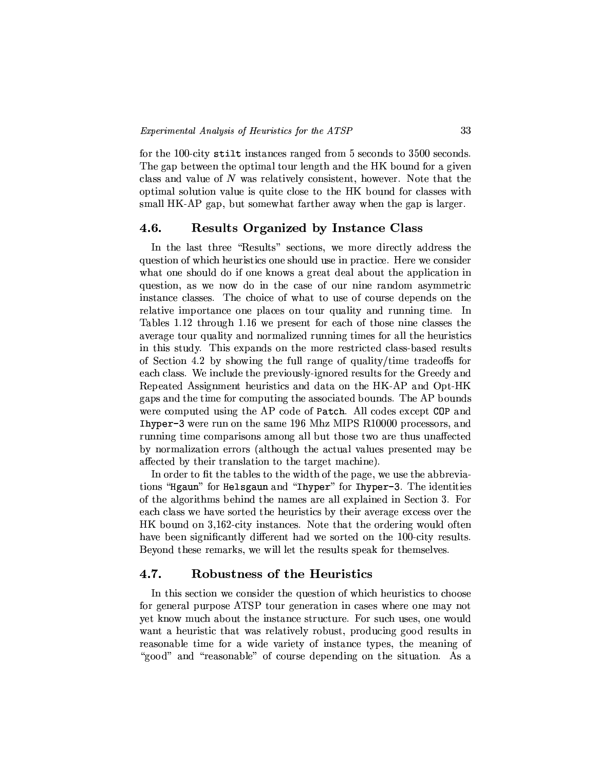for the 100-city stilt instances ranged from 5 seconds to 3500 seconds. The gap between the optimal tour length and the HK bound for a given class and value of  $N$  was relatively consistent, however. Note that the optimal solution value is quite close to the HK bound for classes with small HK-AP gap, but somewhat farther away when the gap is larger.

## **Results Organized by Instance Class** 4.6.

In the last three "Results" sections, we more directly address the question of which heuristics one should use in practice. Here we consider what one should do if one knows a great deal about the application in question, as we now do in the case of our nine random asymmetric instance classes. The choice of what to use of course depends on the relative importance one places on tour quality and running time. In Tables 1.12 through 1.16 we present for each of those nine classes the average tour quality and normalized running times for all the heuristics in this study. This expands on the more restricted class-based results of Section 4.2 by showing the full range of quality/time tradeoffs for each class. We include the previously-ignored results for the Greedy and Repeated Assignment heuristics and data on the HK-AP and Opt-HK gaps and the time for computing the associated bounds. The AP bounds were computed using the AP code of Patch. All codes except COP and Ihyper-3 were run on the same 196 Mhz MIPS R10000 processors, and running time comparisons among all but those two are thus unaffected by normalization errors (although the actual values presented may be affected by their translation to the target machine).

In order to fit the tables to the width of the page, we use the abbreviations "Hgaun" for Helsgaun and "Ihyper" for Ihyper-3. The identities of the algorithms behind the names are all explained in Section 3. For each class we have sorted the heuristics by their average excess over the HK bound on 3,162-city instances. Note that the ordering would often have been significantly different had we sorted on the 100-city results. Beyond these remarks, we will let the results speak for themselves.

### $4.7.$ Robustness of the Heuristics

In this section we consider the question of which heuristics to choose for general purpose ATSP tour generation in cases where one may not yet know much about the instance structure. For such uses, one would want a heuristic that was relatively robust, producing good results in reasonable time for a wide variety of instance types, the meaning of "good" and "reasonable" of course depending on the situation. As a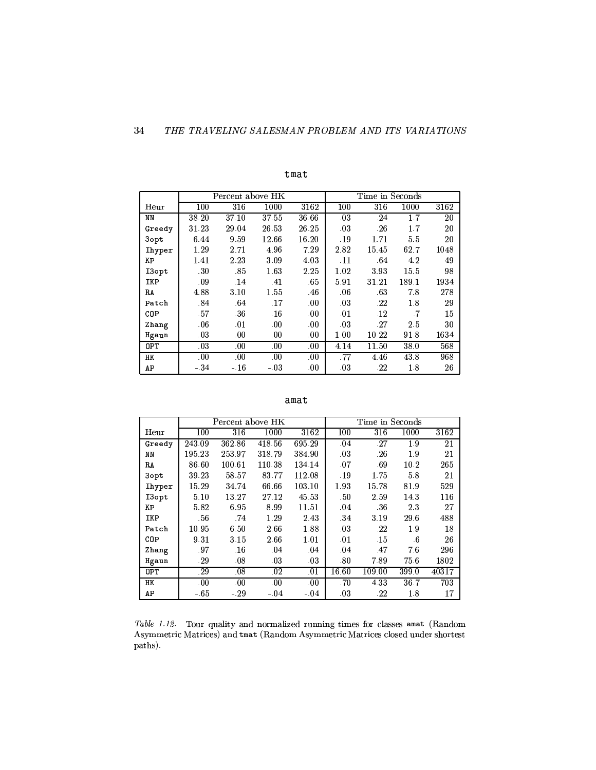|        |       | Percent above HK |       |       |      | Time in Seconds |       |      |
|--------|-------|------------------|-------|-------|------|-----------------|-------|------|
| Heur   | 100   | 316              | 1000  | 3162  | 100  | 316             | 1000  | 3162 |
| NN     | 38.20 | 37.10            | 37.55 | 36.66 | .03  | .24             | 1.7   | 20   |
| Greedy | 31.23 | 29.04            | 26.53 | 26.25 | .03  | .26             | 1.7   | 20   |
| 3opt   | 6.44  | 9.59             | 12.66 | 16.20 | .19  | 1.71            | 5.5   | 20   |
| Ihyper | 1.29  | 2.71             | 4.96  | 7.29  | 2.82 | 15.45           | 62.7  | 1048 |
| ΚP     | 1.41  | 2.23             | 3.09  | 4.03  | .11  | .64             | 4.2   | 49   |
| I3opt  | .30   | -85              | 1.63  | 2.25  | 1.02 | 3.93            | 15.5  | 98   |
| IKP    | .09   | .14              | .41   | -65   | 5.91 | 31.21           | 189.1 | 1934 |
| R.A    | 4.88  | 3.10             | 1.55  | .46   | .06  | .63             | 7.8   | 278  |
| Patch  | .84   | .64              | .17   | .00.  | .03  | 22              | 1.8   | 29   |
| COP    | .57   | -36              | .16   | .00.  | .01  | .12             | .7    | 15   |
| Zhang  | .06   | .01              | .00.  | .00   | .03  | .27             | 2.5   | 30   |
| Hgaun  | .03   | .00              | .00   | .00   | 1.00 | 10.22           | 91.8  | 1634 |
| 0PI    | .03   | $.00\,$          | .00   | .00   | 4.14 | 11.50           | 38.0  | 568  |
| НK     | .00.  | .00              | .00.  | .00.  | .77  | 4.46            | 43.8  | 968  |
| AΡ     | - 34  | - 16             | $-03$ | .00   | .03  | .22             | 1.8   | 26   |

## tmat

|        |        | Percent above HK |        |        | Time in Seconds |        |       |       |  |
|--------|--------|------------------|--------|--------|-----------------|--------|-------|-------|--|
| Heur   | 100    | 316              | 1000   | 3162   | 100             | 316    | 1000  | 3162  |  |
| Greedy | 243.09 | 362.86           | 418.56 | 695.29 | .04             | .27    | 1.9   | 21    |  |
| NΝ     | 195.23 | 253.97           | 318.79 | 384.90 | .03             | -26    | 1.9   | 21    |  |
| R.A    | 86.60  | 100.61           | 110.38 | 134.14 | .07             | .69    | 10.2  | 265   |  |
| 3opt   | 39.23  | 58.57            | 83.77  | 112.08 | .19             | 1.75   | 5.8   | 21    |  |
| Ihyper | 15.29  | 34.74            | 66.66  | 103.10 | 1.93            | 15.78  | 81.9  | 529   |  |
| I3opt  | 5.10   | 13.27            | 27.12  | 45.53  | .50             | 2.59   | 14.3  | 116   |  |
| ΚP     | 5.82   | 6.95             | 8.99   | 11.51  | .04             | -36    | 23    | 27    |  |
| IKP    | .56    | -74              | 1.29   | 2.43   | -34             | 3.19   | 29.6  | 488   |  |
| Patch  | 10.95  | 6.50             | 2.66   | 1.88   | .03             | 22     | 1.9   | 18    |  |
| COP    | 9.31   | 3.15             | 2.66   | 1.01   | .01             | .15    | -6    | 26    |  |
| Zhang  | .97    | .16              | -04    | .04    | .04             | .47    | 76    | 296   |  |
| Hgaun  | .29    | 08               | 03     | 03     | .80             | 7.89   | 75.6  | 1802  |  |
| 0PT    | .29    | .08              | .02    | .01    | 16.60           | 109.00 | 399.0 | 40317 |  |
| HК     | .00    | .00              | .00.   | .00    | .70             | 4.33   | 36.7  | 703   |  |
| AP     | $-65$  | $-29$            | $-04$  | $-04$  | .03             | .22    | 1.8   | 17    |  |

Table 1.12. Tour quality and normalized running times for classes amat (Random Asymmetric Matrices) and tmat (Random Asymmetric Matrices closed under shortest paths).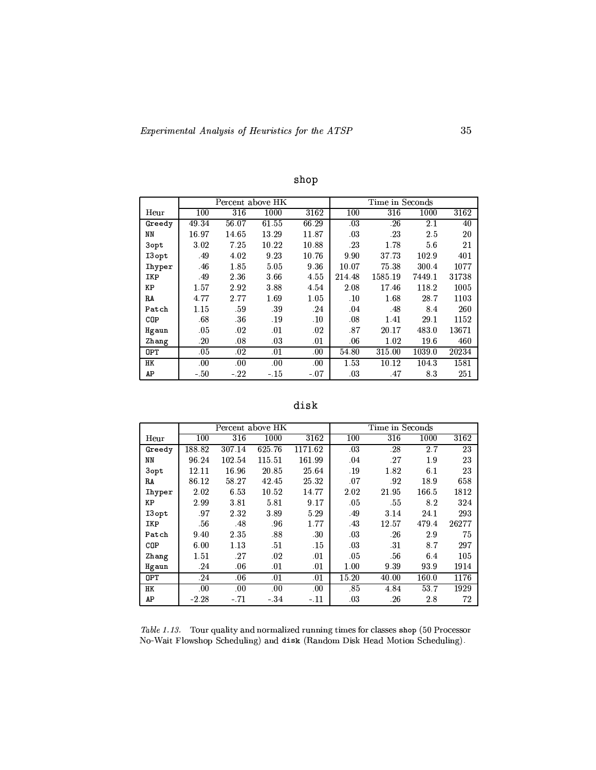|        |       | Percent above HK |       |       | Time in Seconds |         |        |       |  |  |
|--------|-------|------------------|-------|-------|-----------------|---------|--------|-------|--|--|
| Heur   | 100   | 316              | 1000  | 3162  | 100             | 316     | 1000   | 3162  |  |  |
| Greedy | 49.34 | 56.07            | 61.55 | 66.29 | .03             | -26     | 2.1    | 40    |  |  |
| NN     | 16.97 | 14.65            | 13.29 | 11.87 | 03              | -23     | 2.5    | 20    |  |  |
| 3opt   | 3.02  | 7.25             | 10.22 | 10.88 | -23             | 1.78    | 56     | 21    |  |  |
| I3opt  | .49   | 4.02             | 9.23  | 10.76 | 9.90            | 37.73   | 102.9  | 401   |  |  |
| Ihyper | .46   | 1.85             | 5.05  | 9.36  | 10.07           | 75.38   | 300.4  | 1077  |  |  |
| IKP    | .49   | 2.36             | 3.66  | 4.55  | 214.48          | 1585.19 | 7449.1 | 31738 |  |  |
| ΚP     | 1.57  | 2.92             | 3.88  | 4.54  | 2.08            | 17.46   | 118.2  | 1005  |  |  |
| RA     | 4.77  | 2.77             | 1.69  | 1.05  | $.10\,$         | 1.68    | 28.7   | 1103  |  |  |
| Patch  | 1.15  | -59              | -39   | .24   | .04             | .48     | 8.4    | 260   |  |  |
| COP    | -68   | -36              | .19   | .10   | .08             | 1.41    | 29.1   | 1152  |  |  |
| Hgaun  | .05   | 02               | .01   | .02   | .87             | 20.17   | 483.0  | 13671 |  |  |
| Zhang  | .20   | .08              | 03    | .01   | .06             | 1.02    | 19.6   | 460   |  |  |
| OP T   | .05   | .02              | .01   | .00   | 54.80           | 315.00  | 1039.0 | 20234 |  |  |
| HK     | .00.  | .00.             | .00   | .00   | 1.53            | 10.12   | 104.3  | 1581  |  |  |
| AP     | - 50  | $-22$            | - 15  | $-07$ | .03             | .47     | 83     | 251   |  |  |

shop

 $_{\tt disk}$ 

|        |         |        | Percent above HK |                 | Time in Seconds |       |       |       |  |
|--------|---------|--------|------------------|-----------------|-----------------|-------|-------|-------|--|
| Heur   | 100     | 316    | 1000             | 3162            | 100             | 316   | 1000  | 3162  |  |
| Greedy | 188.82  | 307.14 | 625.76           | 1171.62         | .03             | .28   | 2.7   | 23    |  |
| NN     | 96.24   | 102.54 | 115.51           | 161.99          | .04             | .27   | 1.9   | 23    |  |
| 3opt   | 12.11   | 16.96  | 20.85            | 25.64           | .19             | 1.82  | 6.1   | 23    |  |
| RA     | 86.12   | 58.27  | 42.45            | 25.32           | .07             | .92   | 18.9  | 658   |  |
| Ihyper | 2.02    | 6.53   | 10.52            | 14.77           | 2.02            | 21.95 | 166.5 | 1812  |  |
| ΚP     | 2.99    | 3.81   | 5.81             | 9.17            | 05              | .55   | 8.2   | 324   |  |
| I3opt  | .97     | 2.32   | 3.89             | 5.29            | .49             | 3.14  | 24.1  | 293   |  |
| IKP    | .56     | .48    | -96              | 1.77            | .43             | 12.57 | 479.4 | 26277 |  |
| Patch  | 9.40    | 2.35   | .88              | -30             | 03              | .26   | 2.9   | 75    |  |
| COP    | 6.00    | 1.13   | .51              | .15             | -03             | .31   | 8.7   | 297   |  |
| Zhang  | 1.51    | .27    | 0 <sub>2</sub>   | $\overline{01}$ | .05             | -56   | 6.4   | 105   |  |
| Hgaun  | .24     | .06    | .01              | $\overline{01}$ | 1.00            | 9.39  | 93.9  | 1914  |  |
| OP T   | .24     | .06    | .01              | .01             | 15.20           | 40.00 | 160.0 | 1176  |  |
| HK     | .00     | .00    | .00              | .00             | -85             | 4.84  | 53.7  | 1929  |  |
| AP     | $-2.28$ | $-.71$ | $-34$            | $-.11$          | .03             | .26   | 2.8   | 72    |  |

Table 1.13. Tour quality and normalized running times for classes shop (50 Processor No-Wait Flowshop Scheduling) and disk (Random Disk Head Motion Scheduling).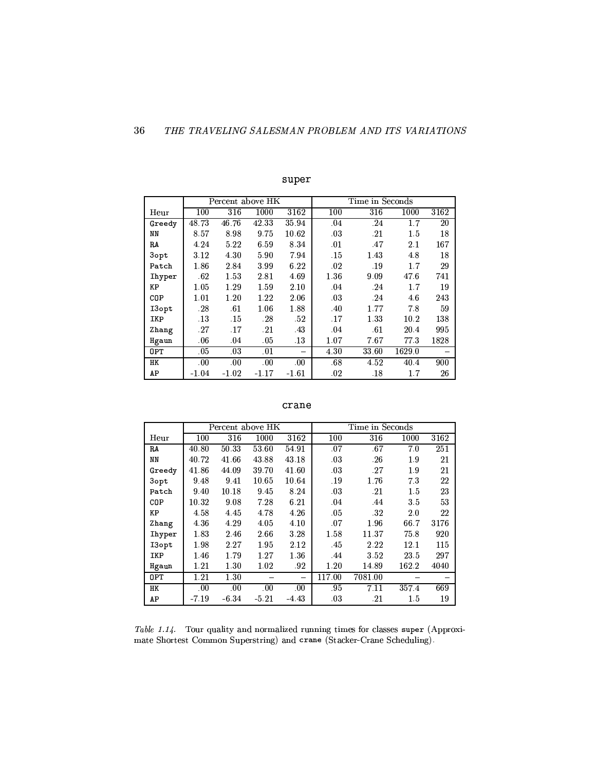|        |         | Percent above HK |         |         | Time in Seconds |       |         |      |  |
|--------|---------|------------------|---------|---------|-----------------|-------|---------|------|--|
| Heur   | $100\,$ | 316              | 1000    | 3162    | 100             | 316   | 1000    | 3162 |  |
| Greedy | 48.73   | 46.76            | 42.33   | 35.94   | .04             | .24   | 1.7     | 20   |  |
| NN     | 8.57    | 8.98             | 9.75    | 10.62   | .03             | .21   | 1.5     | 18   |  |
| RA     | 4.24    | 5.22             | 6.59    | 8.34    | .01             | .47   | $2.1\,$ | 167  |  |
| 3opt   | 3.12    | 4.30             | 5.90    | 7.94    | .15             | 1.43  | 4.8     | 18   |  |
| Patch  | 1.86    | 2.84             | 3.99    | 6.22    | .02             | .19   | 1.7     | 29   |  |
| Ihyper | .62     | 1.53             | 2.81    | 4.69    | 1.36            | 9.09  | 47.6    | 741  |  |
| ΚP     | 1.05    | 1.29             | 1.59    | 2.10    | .04             | -24   | 17      | 19   |  |
| COP    | 1.01    | 1.20             | 1.22    | 2.06    | 03              | $-24$ | 4.6     | 243  |  |
| I3opt  | .28     | 61               | 1.06    | 1.88    | .40             | 1.77  | 7.8     | 59   |  |
| IKP    | .13     | .15              | -28     | .52     | .17             | 1.33  | 10.2    | 138  |  |
| Zhang  | .27     | .17              | .21     | .43     | .04             | -61   | 20.4    | 995  |  |
| Hgaun  | .06     | .04              | .05     | -13     | 1.07            | 7.67  | 773     | 1828 |  |
| OP T   | .05     | .03              | .01     |         | 4.30            | 33.60 | 1629.0  |      |  |
| HK     | .00     | .00.             | .00.    | .00.    | .68             | 4.52  | 40.4    | 900  |  |
| AP     | -1.04   | $-1.02$          | $-1.17$ | $-1.61$ | .02             | .18   | 1.7     | 26   |  |

## $super$

| L I I<br>. . |  |
|--------------|--|
|--------------|--|

|        |         | Percent above HK |         |                 |        | Time in Seconds |       |      |
|--------|---------|------------------|---------|-----------------|--------|-----------------|-------|------|
| Heur   | 100     | 316              | 1000    | 3162            | 100    | 316             | 1000  | 3162 |
| RA     | 40.80   | 50.33            | 53.60   | 54.91           | .07    | .67             | 7.0   | 251  |
| NN     | 40.72   | 41.66            | 43.88   | 43.18           | .03    | .26             | 1.9   | 21   |
| Greedy | 41.86   | 44.09            | 39.70   | 41.60           | .03    | .27             | 1.9   | 21   |
| 3opt   | 9.48    | 9.41             | 10.65   | 10.64           | .19    | 1.76            | 7.3   | 22   |
| Patch  | 9.40    | 10.18            | 9.45    | 8.24            | .03    | .21             | 1.5   | 23   |
| COP    | 10.32   | 9.08             | 7.28    | 6.21            | .04    | .44             | 3.5   | 53   |
| ΚP     | 4.58    | 4.45             | 4.78    | 4.26            | .05    | -32             | 2.0   | 22   |
| Zhang  | 4.36    | 4.29             | 4.05    | 4.10            | .07    | 1.96            | 66.7  | 3176 |
| Ihyper | 1.83    | 2.46             | 2.66    | 3.28            | 1.58   | 11.37           | 75.8  | 920  |
| I3opt  | 1.98    | 2.27             | 1.95    | 2.12            | .45    | 2.22            | 12.1  | 115  |
| IKP    | 1.46    | 1.79             | 1.27    | 1.36            | .44    | 3.52            | 23.5  | 297  |
| Hgaun  | 1.21    | 1.30             | 1.02    | -92             | 1.20   | 14.89           | 162.2 | 4040 |
| OP T   | 1.21    | 1.30             |         |                 | 117.00 | 7081.00         |       |      |
| HK     | .00     | $.00\,$          | .00     | $\overline{00}$ | .95    | 7.11            | 357.4 | 669  |
| AP     | $-7.19$ | $-6.34$          | $-5.21$ | $-4.43$         | .03    | .21             | 1.5   | 19   |

Table 1.14. Tour quality and normalized running times for classes super (Approximate Shortest Common Superstring) and crane (Stacker-Crane Scheduling).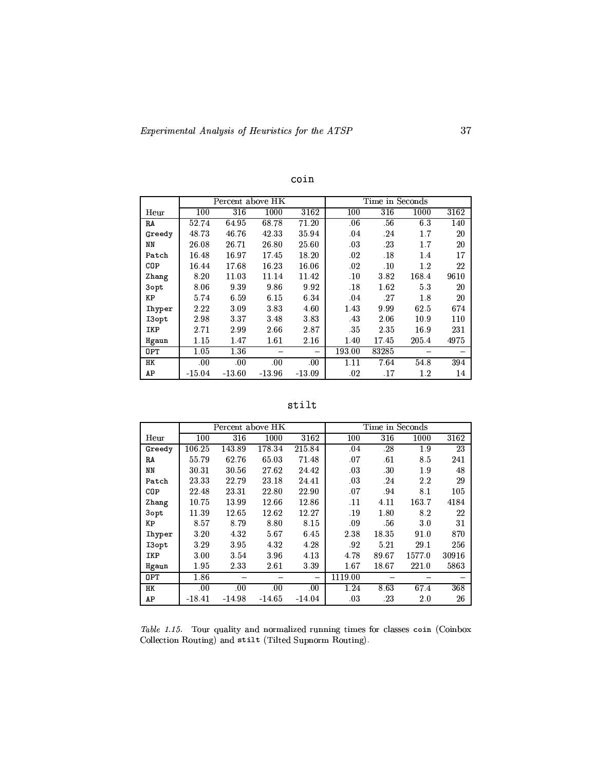|        |          | Percent above HK |          |          |        | Time in Seconds |         |      |
|--------|----------|------------------|----------|----------|--------|-----------------|---------|------|
| Heur   | 100      | 316              | 1000     | 3162     | 100    | 316             | 1000    | 3162 |
| RA     | 52.74    | 64.95            | 68.78    | 71.20    | .06    | .56             | 63      | 140  |
| Greedy | 48.73    | 46.76            | 4233     | 35.94    | .04    | .24             | 17      | 20   |
| NN     | 26.08    | 26.71            | 26.80    | 25.60    | .03    | -23             | $1.7\,$ | 20   |
| Patch  | 16.48    | 16.97            | 17.45    | 18.20    | .02    | .18             | 1.4     | 17   |
| COP    | 16.44    | 17.68            | 16.23    | 16.06    | .02    | .10             | $1.2\,$ | 22   |
| Zhang  | 8.20     | 11.03            | 11.14    | 11.42    | .10    | 3.82            | 168.4   | 9610 |
| 3opt   | 8.06     | 9.39             | 9.86     | 9.92     | .18    | 1.62            | 53      | 20   |
| ΚP     | 5.74     | 6.59             | 6.15     | 6.34     | .04    | .27             | 1.8     | 20   |
| Ihyper | 2.22     | 3.09             | 3.83     | 4.60     | 1.43   | 9.99            | 62.5    | 674  |
| I3opt  | 2.98     | 3.37             | 3.48     | 3.83     | .43    | 2.06            | 10.9    | 110  |
| IKP    | 2.71     | 2.99             | 2.66     | 2.87     | -35    | 2.35            | 16.9    | 231  |
| Hgaun  | 1.15     | 1.47             | 1.61     | 2.16     | 1.40   | 17.45           | 205.4   | 4975 |
| OP T   | 1.05     | 1.36             |          | $\equiv$ | 193.00 | 83285           |         |      |
| HК     | .00.     | .00              | .00.     | .00.     | 1.11   | 7.64            | 54.8    | 394  |
| AP     | $-15.04$ | $-13.60$         | $-13.96$ | $-13.09$ | .02    | .17             | $1.2\,$ | 14   |

 $\verb|coin|$ 

stilt

|        |           | Percent above HK |          |                          | Time in Seconds |       |        |       |  |
|--------|-----------|------------------|----------|--------------------------|-----------------|-------|--------|-------|--|
| Heur   | 100       | 316              | 1000     | 3162                     | 100             | 316   | 1000   | 3162  |  |
| Greedy | 106.25    | 143.89           | 178.34   | 215.84                   | .04             | -28   | 1.9    | 23    |  |
| RA     | 55.79     | 62.76            | 65.03    | 71.48                    | .07             | .61   | 8.5    | 241   |  |
| NN     | $30\,31$  | 30.56            | 27.62    | 24.42                    | .03             | -30   | 1.9    | 48    |  |
| Patch  | 23.33     | 22.79            | 23.18    | 24.41                    | .03             | .24   | 2.2    | 29    |  |
| COP    | 22.48     | 23.31            | 22.80    | 22.90                    | .07             | -94   | 8.1    | 105   |  |
| Zhang  | $10.75\,$ | 13.99            | 12.66    | 12.86                    | .11             | 4.11  | 163.7  | 4184  |  |
| 3opt   | 11.39     | 12.65            | 12.62    | 12.27                    | .19             | 1.80  | 8.2    | 22    |  |
| ΚP     | 8.57      | 8.79             | 8.80     | 8.15                     | .09             | .56   | 3.0    | 31    |  |
| Ihyper | 3.20      | 4.32             | 5.67     | 6.45                     | 2.38            | 18.35 | 91.0   | 870   |  |
| I3opt  | 3.29      | 3.95             | 4.32     | 4.28                     | .92             | 5.21  | 29.1   | 256   |  |
| IKP    | 3.00      | 3.54             | 3.96     | 4.13                     | 4.78            | 89.67 | 1577.0 | 30916 |  |
| Hgaun  | 1.95      | 2.33             | 2.61     | 3.39                     | 1.67            | 18.67 | 221.0  | 5863  |  |
| 0PT    | 1.86      |                  |          | $\overline{\phantom{a}}$ | 1119.00         |       |        |       |  |
| HК     | .00       | .00              | $.00\,$  | .00                      | 1.24            | 8.63  | 674    | 368   |  |
| AP     | $-18.41$  | $-14.98$         | $-14.65$ | $-14.04$                 | .03             | .23   | 2.0    | 26    |  |

Table 1.15. Tour quality and normalized running times for classes  $\text{coin}$  (Coinbox Collection Routing) and  $\text{stit}$  (Tilted Supnorm Routing).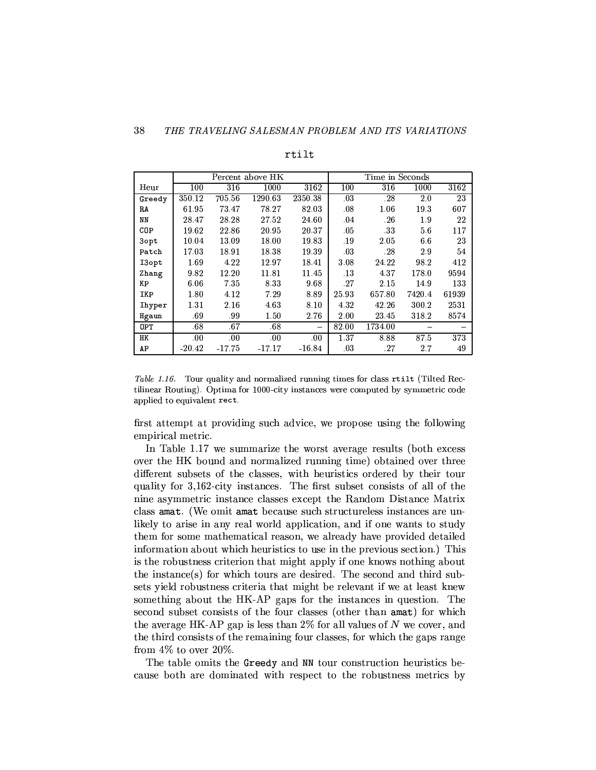|        |          |          | Percent above HK |          | Time in Seconds |         |        |       |  |
|--------|----------|----------|------------------|----------|-----------------|---------|--------|-------|--|
| Heur   | 100      | 316      | 1000             | 3162     | 100             | 316     | 1000   | 3162  |  |
| Greedy | 350.12   | 705.56   | 1290.63          | 2350.38  | .03             | .28     | 2.0    | 23    |  |
| RA     | 61.95    | 73.47    | 78.27            | 82.03    | 08              | 1.06    | 19.3   | 607   |  |
| NN     | 28.47    | 28.28    | 27.52            | 24.60    | .04             | -26     | 1.9    | 22    |  |
| COP    | 19.62    | 22.86    | 20.95            | 20.37    | .05             | -33     | 5.6    | 117   |  |
| 3opt   | 10.04    | 13.09    | 18.00            | 19.83    | .19             | 2.05    | 6.6    | 23    |  |
| Patch  | 17.03    | 18.91    | 18.38            | 1939     | .03             | .28     | 2.9    | 54    |  |
| I3opt  | 1.69     | 4.22     | 12.97            | 18.41    | 3.08            | 24.22   | 98.2   | 412   |  |
| Zhang  | 9.82     | 12.20    | 11.81            | 11.45    | .13             | 4.37    | 178.0  | 9594  |  |
| ΚP     | 6.06     | 7.35     | 8.33             | 9.68     | .27             | 2.15    | 14.9   | 133   |  |
| IKP    | 1.80     | 4.12     | 7.29             | 8.89     | 25.93           | 657.80  | 7420.4 | 61939 |  |
| Ihyper | 1.31     | 2.16     | 4.63             | 8.10     | 4.32            | 42.26   | 300.2  | 2531  |  |
| Hgaun  | -69      | -99      | 1.50             | 2.76     | 2.00            | 23.45   | 318.2  | 8574  |  |
| OP T   | .68      | .67      | .68              |          | 82.00           | 1734.00 |        |       |  |
| HK     | .00      | .00      | .00              | .00.     | 1.37            | 8.88    | 87.5   | 373   |  |
| AP     | $-20.42$ | $-17.75$ | $-17.17$         | $-16.84$ | .03             | .27     | 2.7    | 49    |  |

rtilt

Table 1.16. Tour quality and normalized running times for class rtilt (Tilted Rectilinear Routing). Optima for 1000-city instances were computed by symmetric code applied to equivalent rect.

first attempt at providing such advice, we propose using the following empirical metric.

In Table 1.17 we summarize the worst average results (both excess over the HK bound and normalized running time) obtained over three different subsets of the classes, with heuristics ordered by their tour quality for 3.162-city instances. The first subset consists of all of the nine asymmetric instance classes except the Random Distance Matrix class amat. (We omit amat because such structureless instances are unlikely to arise in any real world application, and if one wants to study them for some mathematical reason, we already have provided detailed information about which heuristics to use in the previous section.) This is the robustness criterion that might apply if one knows nothing about the instance(s) for which tours are desired. The second and third subsets yield robustness criteria that might be relevant if we at least knew something about the HK-AP gaps for the instances in question. The second subset consists of the four classes (other than a mat) for which the average HK-AP gap is less than 2% for all values of N we cover, and the third consists of the remaining four classes, for which the gaps range from  $4\%$  to over  $20\%$ .

The table omits the Greedy and NN tour construction heuristics because both are dominated with respect to the robustness metrics by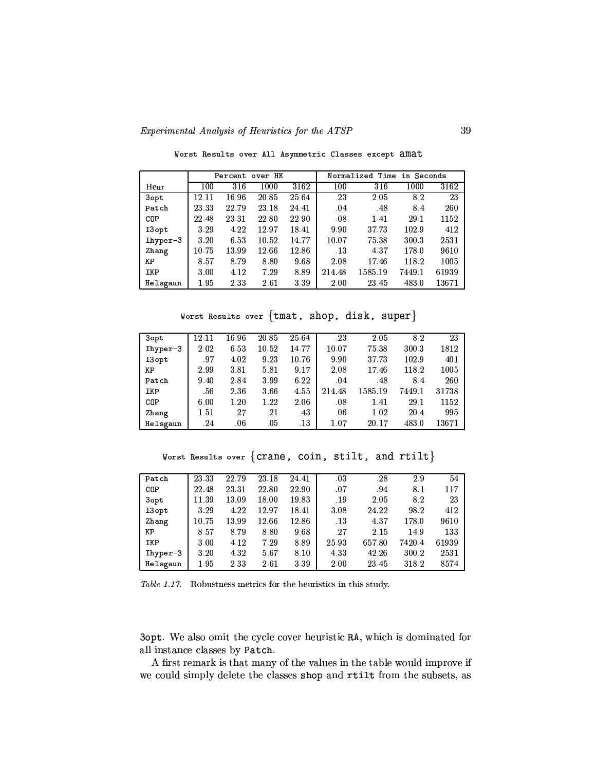|            |       |       | Percent over HK |       | Normalized Time in Seconds |         |        |       |  |
|------------|-------|-------|-----------------|-------|----------------------------|---------|--------|-------|--|
| Heur       | 100   | 316   | 1000            | 3162  | 100                        | 316     | 1000   | 3162  |  |
| 3opt       | 12.11 | 16.96 | 20.85           | 25.64 | .23                        | 2.05    | 8.2    | 23    |  |
| Patch      | 23.33 | 22.79 | 23.18           | 24.41 | .04                        | -48     | 8.4    | 260   |  |
| COP        | 22.48 | 23.31 | 22.80           | 22.90 | .08                        | 1.41    | 29.1   | 1152  |  |
| I3opt      | 3.29  | 4.22  | 12.97           | 18.41 | 9.90                       | 37.73   | 102.9  | 412   |  |
| $Ihyper-3$ | 3.20  | 6.53  | 10.52           | 14.77 | 10.07                      | 75.38   | 300.3  | 2531  |  |
| Zhang      | 10.75 | 13.99 | 12.66           | 12.86 | .13                        | 4.37    | 178.0  | 9610  |  |
| ΚP         | 8.57  | 8.79  | 8.80            | 9.68  | 2.08                       | 17.46   | 118.2  | 1005  |  |
| IKP        | 3.00  | 4.12  | 7.29            | 8.89  | 214.48                     | 1585.19 | 7449.1 | 61939 |  |
| Helsgaun   | 1.95  | 2.33  | 2.61            | 3.39  | 2.00                       | 23.45   | 483.0  | 13671 |  |

Worst Results over All Asymmetric Classes except amat

Worst Results over {tmat, shop, disk, super}

| 3opt     | 12.11 | 16.96 | 20.85 | 25.64 | 23     | 2.05    | 8.2    | 23    |
|----------|-------|-------|-------|-------|--------|---------|--------|-------|
| Ihyper-3 | 2.02  | 6.53  | 10.52 | 14.77 | 10.07  | 75.38   | 300.3  | 1812  |
| I3opt    | .97   | 4.02  | 9.23  | 10.76 | 9.90   | 37.73   | 102.9  | 401   |
| ΚP       | 2.99  | 3.81  | 5.81  | 9.17  | 2.08   | 17.46   | 118.2  | 1005  |
| Patch    | 9.40  | 2.84  | 399   | 6.22  | .04    | .48     | 8.4    | 260   |
| IKP      | .56   | 2.36  | 3.66  | 4.55  | 214.48 | 1585.19 | 7449.1 | 31738 |
| COP      | 6.00  | 1.20  | 1.22  | 2.06  | .08    | 1.41    | 29.1   | 1152  |
| Zhang    | 1.51  | .27   | .21   | .43   | -06    | 1.02    | 20.4   | 995   |
| Helsgaun | .24   | .06   | .05   | .13   | 1.07   | 20.17   | 483.0  | 13671 |

Worst Results over {crane, coin, stilt, and rtilt}

| Patch      | 23.33 | 22.79 | 23.18 | 24.41 | .03   | .28    | 2.9    | 54    |
|------------|-------|-------|-------|-------|-------|--------|--------|-------|
| COP        | 22.48 | 23.31 | 22.80 | 22.90 | .07   | .94    | 8.1    | 117   |
| 3opt       | 11.39 | 13.09 | 18.00 | 19.83 | .19   | 2.05   | 8.2    | 23    |
| I3opt      | 3.29  | 4.22  | 12.97 | 18.41 | 3.08  | 24.22  | 98.2   | 412   |
| Zhang      | 10.75 | 13.99 | 12.66 | 12.86 | .13   | 4.37   | 178.0  | 9610  |
| ΚP         | 8.57  | 8.79  | 8.80  | 9.68  | .27   | 2.15   | 14.9   | 133   |
| IKP        | 3.00  | 4.12  | 7.29  | 8.89  | 25.93 | 657.80 | 7420.4 | 61939 |
| $Ihyper-3$ | 3.20  | 4.32  | 5.67  | 8.10  | 4.33  | 42.26  | 300.2  | 2531  |
| Helsgaun   | 1.95  | 2.33  | 2.61  | 3.39  | 2.00  | 23.45  | 318.2  | 8574  |

Table 1.17. Robustness metrics for the heuristics in this study.

3opt. We also omit the cycle cover heuristic RA, which is dominated for all instance classes by Patch.

A first remark is that many of the values in the table would improve if we could simply delete the classes shop and rtilt from the subsets, as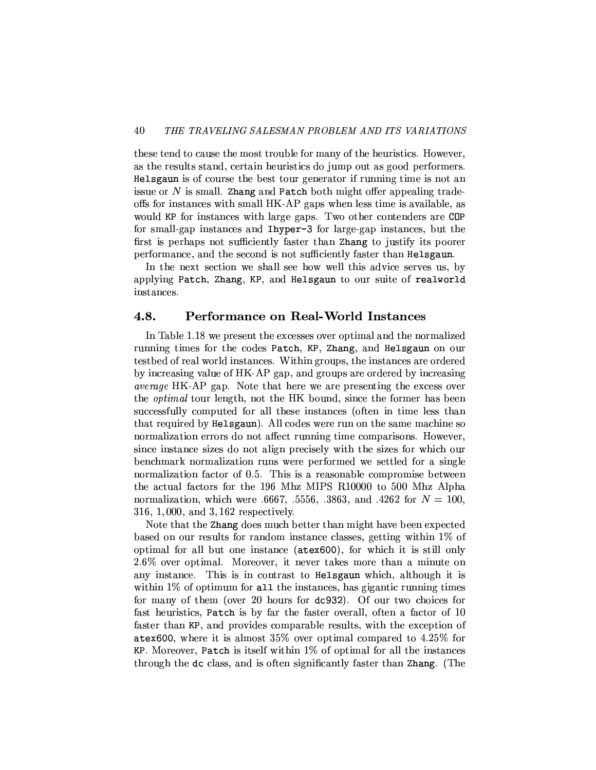these tend to cause the most trouble for many of the heuristics. However, as the results stand, certain heuristics do jump out as good performers. Helsgaun is of course the best tour generator if running time is not an issue or  $N$  is small. Zhang and Patch both might offer appealing tradeoffs for instances with small HK-AP gaps when less time is available, as would KP for instances with large gaps. Two other contenders are COP for small-gap instances and Ihyper-3 for large-gap instances, but the first is perhaps not sufficiently faster than Zhang to justify its poorer performance, and the second is not sufficiently faster than Helsgaun.

In the next section we shall see how well this advice serves us, by applying Patch, Zhang, KP, and Helsgaun to our suite of realworld instances.

## 4.8. Performance on Real-World Instances

In Table 1.18 we present the excesses over optimal and the normalized running times for the codes Patch, KP, Zhang, and Helsgaun on our testbed of real world instances. Within groups, the instances are ordered by increasing value of HK-AP gap, and groups are ordered by increasing *average* HK-AP gap. Note that here we are presenting the excess over the *optimal* tour length, not the HK bound, since the former has been successfully computed for all these instances (often in time less than that required by Helsgaun). All codes were run on the same machine so normalization errors do not affect running time comparisons. However, since instance sizes do not align precisely with the sizes for which our benchmark normalization runs were performed we settled for a single normalization factor of 0.5. This is a reasonable compromise between the actual factors for the 196 Mhz MIPS R10000 to 500 Mhz Alpha normalization, which were .6667, .5556, .3863, and .4262 for  $N = 100$ ,  $316, 1,000,$  and  $3,162$  respectively.

Note that the Zhang does much better than might have been expected based on our results for random instance classes, getting within  $1\%$  of optimal for all but one instance (atex600), for which it is still only 2.6% over optimal. Moreover, it never takes more than a minute on any instance. This is in contrast to Helsgaun which, although it is within  $1\%$  of optimum for all the instances, has gigantic running times for many of them (over 20 hours for dc932). Of our two choices for fast heuristics, Patch is by far the faster overall, often a factor of 10 faster than KP, and provides comparable results, with the exception of atex600, where it is almost  $35\%$  over optimal compared to  $4.25\%$  for KP. Moreover, Patch is itself within  $1\%$  of optimal for all the instances through the dc class, and is often significantly faster than Zhang. (The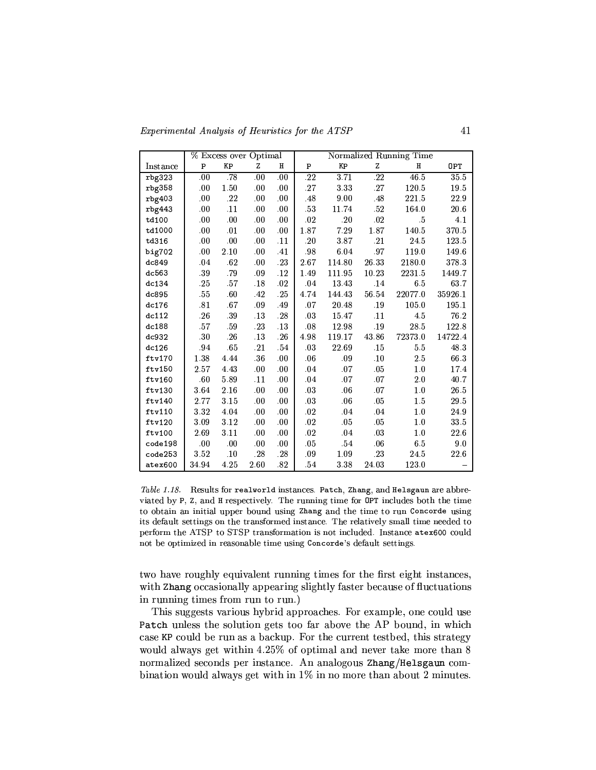Experimental Analysis of Heuristics for the ATSP

|          | % Excess over Optimal |      |      |         | Normalized Running Time |        |                |         |         |
|----------|-----------------------|------|------|---------|-------------------------|--------|----------------|---------|---------|
| Instance | $\mathbf P$           | KP   | z    | н       | P                       | KP     | Z              | Н       | 0PT     |
| rbg323   | .00                   | .78  | .00  | .00     | .22                     | 3.71   | .22            | 46.5    | 35.5    |
| rbg358   | .00                   | 1.50 | .00. | .00     | .27                     | 3.33   | .27            | 120.5   | 19.5    |
| rbg403   | .00                   | .22  | .00  | .00     | .48                     | 9.00   | .48            | 221.5   | 22.9    |
| rbg443   | .00                   | .11  | .00  | .00     | .53                     | 11.74  | .52            | 164.0   | 20.6    |
| td100    | .00                   | .00  | .00  | .00     | 0 <sub>2</sub>          | .20    | 0 <sub>2</sub> | -5      | 4.1     |
| td1000   | .00                   | .01  | .00. | .00     | 1.87                    | 7.29   | 1.87           | 140.5   | 370.5   |
| td316    | .00                   | .00  | .00  | .11     | .20                     | 3.87   | .21            | 24.5    | 123.5   |
| big702   | .00                   | 2.10 | .00  | .41     | .98                     | 6.04   | .97            | 119.0   | 149.6   |
| dc849    | .04                   | .62  | .00  | $.23\,$ | 2.67                    | 114.80 | 26.33          | 2180.0  | 378.3   |
| dc563    | .39                   | .79  | .09  | .12     | 1.49                    | 111.95 | 10.23          | 2231.5  | 1449.7  |
| dc134    | .25                   | .57  | .18  | .02     | .04                     | 13.43  | .14            | 6.5     | 63.7    |
| dc895    | .55                   | .60  | .42  | .25     | 4.74                    | 144.43 | 56.54          | 22077.0 | 35926.1 |
| dc176    | .81                   | .67  | .09  | .49     | .07                     | 20.48  | .19            | 105.0   | 195.1   |
| dc112    | .26                   | .39  | .13  | .28     | .03                     | 15.47  | .11            | 4.5     | 76.2    |
| dc188    | .57                   | .59  | .23  | .13     | .08                     | 12.98  | .19            | 28.5    | 122.8   |
| dc932    | .30                   | -26  | .13  | .26     | 4.98                    | 119.17 | 43.86          | 72373.0 | 14722.4 |
| dc126    | .94                   | 65   | .21  | .54     | .03                     | 22.69  | .15            | 5.5     | 483     |
| ftv170   | 1.38                  | 4.44 | .36  | .00     | .06                     | .09    | .10            | 2.5     | 66.3    |
| ftv150   | 2.57                  | 4.43 | .00  | .00     | .04                     | .07    | .05            | 1.0     | 17.4    |
| ftv160   | .60                   | 5.89 | .11  | $.00\,$ | .04                     | .07    | .07            | 2.0     | 40.7    |
| ftv130   | 3.64                  | 2.16 | .00  | .00     | .03                     | .06    | .07            | 1.0     | 26.5    |
| ftv140   | 2.77                  | 3.15 | .00  | .00     | .03                     | .06    | .05            | 1.5     | 29.5    |
| ftv110   | 3.32                  | 4.04 | .00  | .00     | .02                     | .04    | .04            | 1.0     | 24.9    |
| ftv120   | 3.09                  | 3.12 | .00  | .00     | .02                     | .05    | .05            | 1.0     | 33.5    |
| ftv100   | 2.69                  | 3.11 | .00  | .00     | .02                     | .04    | .03            | 1.0     | 22.6    |
| code198  | .00                   | .00  | .00  | .00     | .05                     | .54    | .06            | 6.5     | 9.0     |
| code253  | 3.52                  | .10  | .28  | .28     | .09                     | 1.09   | .23            | 24.5    | 22.6    |
| atex600  | 34.94                 | 4.25 | 2.60 | .82     | .54                     | 3.38   | 24.03          | 123.0   |         |

Table 1.18. Results for realworld instances. Patch, Zhang, and Helsgaun are abbreviated by P, Z, and H respectively. The running time for OPT includes both the time to obtain an initial upper bound using Zhang and the time to run Concorde using its default settings on the transformed instance. The relatively small time needed to perform the ATSP to STSP transformation is not included. Instance atex600 could not be optimized in reasonable time using Concorde's default settings.

two have roughly equivalent running times for the first eight instances, with Zhang occasionally appearing slightly faster because of fluctuations in running times from run to run.)

This suggests various hybrid approaches. For example, one could use Patch unless the solution gets too far above the AP bound, in which case KP could be run as a backup. For the current testbed, this strategy would always get within 4.25% of optimal and never take more than 8 normalized seconds per instance. An analogous Zhang/Helsgaun combination would always get with in  $1\%$  in no more than about 2 minutes.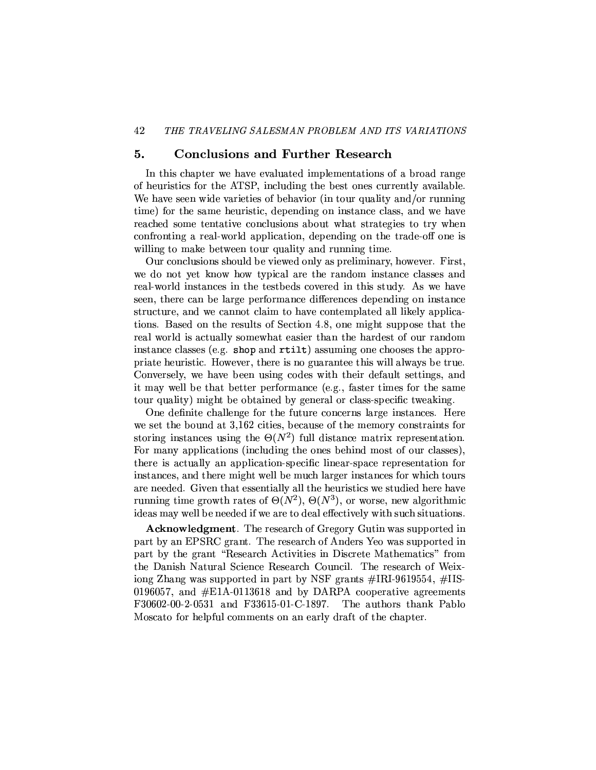#### 5. **Conclusions and Further Research**

In this chapter we have evaluated implementations of a broad range of heuristics for the ATSP, including the best ones currently available. We have seen wide varieties of behavior (in tour quality and/or running time) for the same heuristic, depending on instance class, and we have reached some tentative conclusions about what strategies to try when confronting a real-world application, depending on the trade-off one is willing to make between tour quality and running time.

Our conclusions should be viewed only as preliminary, however. First, we do not yet know how typical are the random instance classes and real-world instances in the testbeds covered in this study. As we have seen, there can be large performance differences depending on instance structure, and we cannot claim to have contemplated all likely applications. Based on the results of Section 4.8, one might suppose that the real world is actually somewhat easier than the hardest of our random instance classes (e.g. shop and rtilt) assuming one chooses the appropriate heuristic. However, there is no guarantee this will always be true. Conversely, we have been using codes with their default settings, and it may well be that better performance (e.g., faster times for the same tour quality) might be obtained by general or class-specific tweaking.

One definite challenge for the future concerns large instances. Here we set the bound at 3.162 cities, because of the memory constraints for storing instances using the  $\Theta(N^2)$  full distance matrix representation. For many applications (including the ones behind most of our classes). there is actually an application-specific linear-space representation for instances, and there might well be much larger instances for which tours are needed. Given that essentially all the heuristics we studied here have running time growth rates of  $\Theta(N^2)$ ,  $\Theta(N^3)$ , or worse, new algorithmic ideas may well be needed if we are to deal effectively with such situations.

Acknowledgment. The research of Gregory Gutin was supported in part by an EPSRC grant. The research of Anders Yeo was supported in part by the grant "Research Activities in Discrete Mathematics" from the Danish Natural Science Research Council. The research of Weixiong Zhang was supported in part by NSF grants  $\#IRI-9619554$ ,  $\#IIS-$ 0196057, and  $\#E1A-0113618$  and by DARPA cooperative agreements F30602-00-2-0531 and F33615-01-C-1897. The authors thank Pablo Moscato for helpful comments on an early draft of the chapter.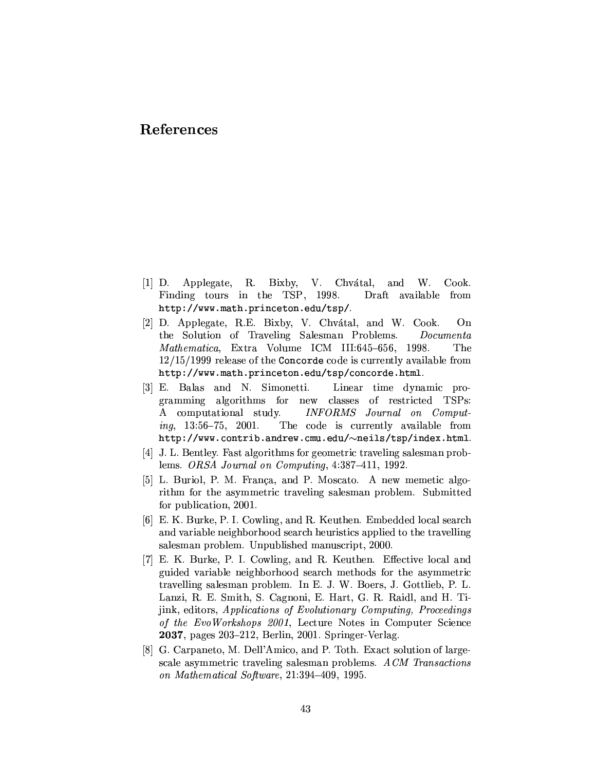## References

- Bixby, V. Chvátal,  $[1]$  D. Applegate, R. and W. Cook. Finding tours in the TSP, 1998.  $Draft$ available from http://www.math.princeton.edu/tsp/.
- [2] D. Applegate, R.E. Bixby, V. Chvátal, and W. Cook.  $On$ the Solution of Traveling Salesman Problems.  $Documenta$ *Mathematica*, Extra Volume ICM III:645-656, 1998. The  $12/15/1999$  release of the Concorde code is currently available from http://www.math.princeton.edu/tsp/concorde.html.
- [3] E. Balas and N. Simonetti. Linear time dynamic programming algorithms for  ${\rm new}$  $\operatorname{classes}$ of restricted TSPs: A computational study. **INFORMS** Journal on Comput-The code is currently available from *ing*,  $13:56-75$ ,  $2001$ . http://www.contrib.andrew.cmu.edu/~neils/tsp/index.html.
- [4] J. L. Bentley. Fast algorithms for geometric traveling salesman problems. ORSA Journal on Computing,  $4:387-411$ , 1992.
- [5] L. Buriol, P. M. França, and P. Moscato. A new memetic algorithm for the asymmetric traveling salesman problem. Submitted for publication, 2001.
- [6] E. K. Burke, P. I. Cowling, and R. Keuthen. Embedded local search and variable neighborhood search heuristics applied to the travelling salesman problem. Unpublished manuscript, 2000.
- [7] E. K. Burke, P. I. Cowling, and R. Keuthen. Effective local and guided variable neighborhood search methods for the asymmetric travelling salesman problem. In E. J. W. Boers, J. Gottlieb, P. L. Lanzi, R. E. Smith, S. Cagnoni, E. Hart, G. R. Raidl, and H. Tijink, editors, Applications of Evolutionary Computing, Proceedings of the EvoWorkshops 2001, Lecture Notes in Computer Science 2037, pages 203-212, Berlin, 2001. Springer-Verlag.
- [8] G. Carpaneto, M. Dell'Amico, and P. Toth. Exact solution of largescale asymmetric traveling salesman problems. ACM Transactions on Mathematical Software, 21:394-409, 1995.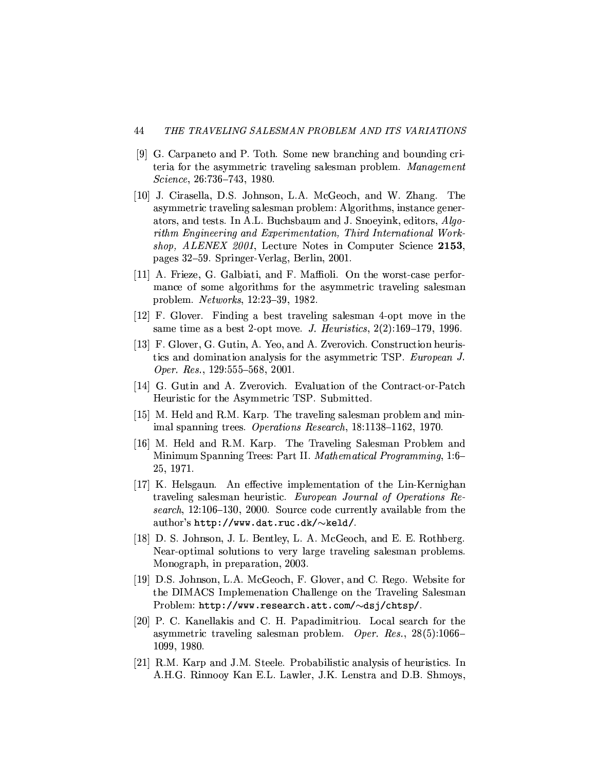- [9] G. Carpaneto and P. Toth. Some new branching and bounding criteria for the asymmetric traveling salesman problem. Management *Science*, 26:736-743, 1980.
- [10] J. Cirasella, D.S. Johnson, L.A. McGeoch, and W. Zhang. The asymmetric traveling salesman problem: Algorithms, instance generators, and tests. In A.L. Buchsbaum and J. Snoevink, editors, Algorithm Engineering and Experimentation, Third International Workshop, ALENEX 2001, Lecture Notes in Computer Science 2153, pages 32-59. Springer-Verlag, Berlin, 2001.
- [11] A. Frieze, G. Galbiati, and F. Maffioli. On the worst-case performance of some algorithms for the asymmetric traveling salesman problem. *Networks*, 12:23-39, 1982.
- [12] F. Glover. Finding a best traveling salesman 4-opt move in the same time as a best 2-opt move. J. Heuristics,  $2(2):169-179$ , 1996.
- [13] F. Glover, G. Gutin, A. Yeo, and A. Zverovich. Construction heuristics and domination analysis for the asymmetric TSP. European J. *Oper. Res.*,  $129:555-568$ ,  $2001$ .
- [14] G. Gutin and A. Zverovich. Evaluation of the Contract-or-Patch Heuristic for the Asymmetric TSP. Submitted.
- [15] M. Held and R.M. Karp. The traveling salesman problem and minimal spanning trees. Operations Research, 18:1138-1162, 1970.
- [16] M. Held and R.M. Karp. The Traveling Salesman Problem and Minimum Spanning Trees: Part II. Mathematical Programming, 1:6-25, 1971.
- [17] K. Helsgaun. An effective implementation of the Lin-Kernighan traveling salesman heuristic. European Journal of Operations Research, 12:106-130, 2000. Source code currently available from the author's  $http://www.dat.ruc.dk/~keld/$ .
- [18] D. S. Johnson, J. L. Bentley, L. A. McGeoch, and E. E. Rothberg. Near-optimal solutions to very large traveling salesman problems. Monograph, in preparation, 2003.
- [19] D.S. Johnson, L.A. McGeoch, F. Glover, and C. Rego. Website for the DIMACS Implemenation Challenge on the Traveling Salesman Problem:  $http://www.research.att.com/~dsj/chtsp/.$
- [20] P. C. Kanellakis and C. H. Papadimitriou. Local search for the asymmetric traveling salesman problem. Oper. Res.,  $28(5):1066-$ 1099, 1980.
- [21] R.M. Karp and J.M. Steele. Probabilistic analysis of heuristics. In A.H.G. Rinnoov Kan E.L. Lawler, J.K. Lenstra and D.B. Shmovs.